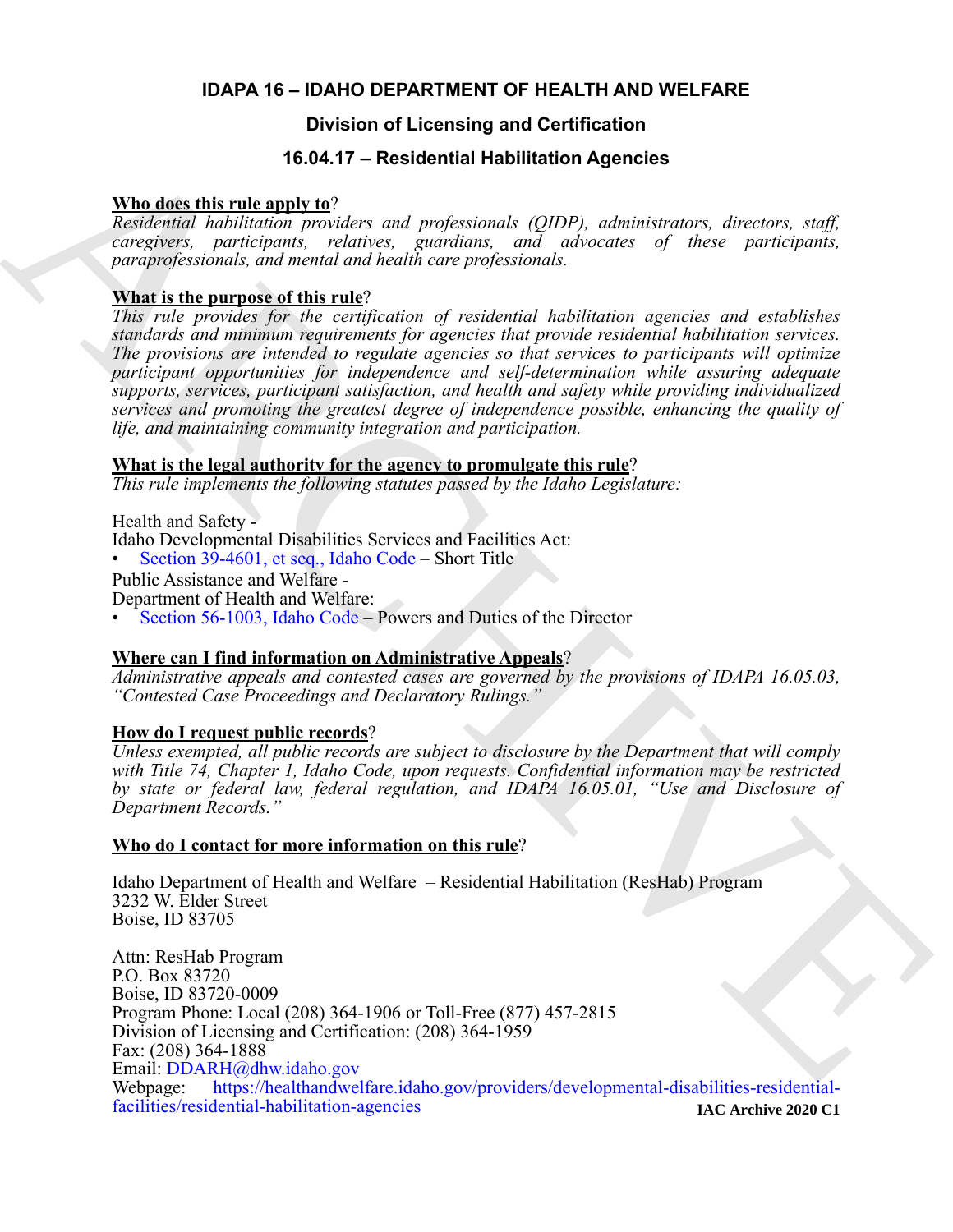#### **IDAPA 16 – IDAHO DEPARTMENT OF HEALTH AND WELFARE**

### **Division of Licensing and Certification**

#### **16.04.17 – Residential Habilitation Agencies**

#### **Who does this rule apply to**?

*Residential habilitation providers and professionals (QIDP), administrators, directors, staff, caregivers, participants, relatives, guardians, and advocates of these participants, paraprofessionals, and mental and health care professionals.*

#### **What is the purpose of this rule**?

*This rule provides for the certification of residential habilitation agencies and establishes standards and minimum requirements for agencies that provide residential habilitation services. The provisions are intended to regulate agencies so that services to participants will optimize participant opportunities for independence and self-determination while assuring adequate supports, services, participant satisfaction, and health and safety while providing individualized services and promoting the greatest degree of independence possible, enhancing the quality of life, and maintaining community integration and participation.*

#### **What is the legal authority for the agency to promulgate this rule**?

*This rule implements the following statutes passed by the Idaho Legislature:*

Health and Safety -

- Idaho Developmental Disabilities Services and Facilities Act:
- Section 39-4601, et seq., Idaho Code Short Title

Public Assistance and Welfare -

Department of Health and Welfare:

• Section 56-1003, Idaho Code – Powers and Duties of the Director

#### **Where can I find information on Administrative Appeals**?

*Administrative appeals and contested cases are governed by the provisions of IDAPA 16.05.03, "Contested Case Proceedings and Declaratory Rulings."*

#### **How do I request public records**?

*Unless exempted, all public records are subject to disclosure by the Department that will comply with Title 74, Chapter 1, Idaho Code, upon requests. Confidential information may be restricted by state or federal law, federal regulation, and IDAPA 16.05.01, "Use and Disclosure of Department Records."*

#### **Who do I contact for more information on this rule**?

Idaho Department of Health and Welfare – Residential Habilitation (ResHab) Program 3232 W. Elder Street Boise, ID 83705

**16.04.17 - Rosidontial Habilitation Agencies<br>
Residential Labilitation members and professional: (QDP), administrations, directors, staff.<br>
Residential habitation members, entirely and professional: (QDP), administration** Attn: ResHab Program P.O. Box 83720 Boise, ID 83720-0009 Program Phone: Local (208) 364-1906 or Toll-Free (877) 457-2815 Division of Licensing and Certification: (208) 364-1959 Fax: (208) 364-1888 Email: DDARH@dhw.idaho.gov<br>Webpage: https://healthandwel [https://healthandwelfare.idaho.gov/providers/developmental-disabilities-residential](https://healthandwelfare.idaho.gov/providers/developmental-disabilities-residential-facilities/residential-habilitation-agencies)[facilities/residential-habilitation-agencies](https://healthandwelfare.idaho.gov/providers/developmental-disabilities-residential-facilities/residential-habilitation-agencies) **IAC Archive 2020 C1**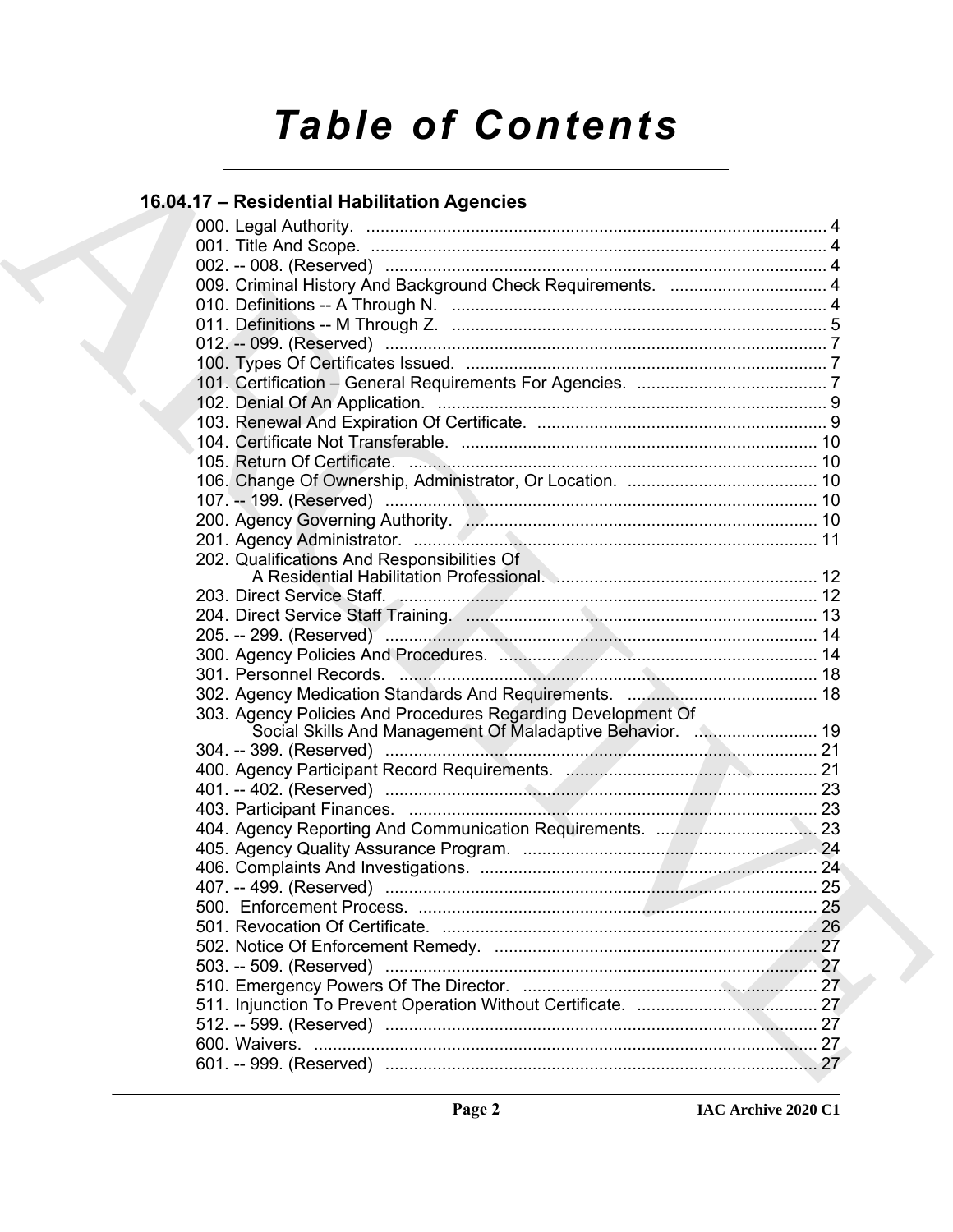# **Table of Contents**

### 16.04.17 - Residential Habilitation Agencies

|  | 009. Criminal History And Background Check Requirements.  4  |  |
|--|--------------------------------------------------------------|--|
|  |                                                              |  |
|  |                                                              |  |
|  |                                                              |  |
|  |                                                              |  |
|  |                                                              |  |
|  |                                                              |  |
|  |                                                              |  |
|  |                                                              |  |
|  |                                                              |  |
|  |                                                              |  |
|  |                                                              |  |
|  |                                                              |  |
|  |                                                              |  |
|  | 202. Qualifications And Responsibilities Of                  |  |
|  |                                                              |  |
|  |                                                              |  |
|  |                                                              |  |
|  |                                                              |  |
|  |                                                              |  |
|  |                                                              |  |
|  |                                                              |  |
|  | 303. Agency Policies And Procedures Regarding Development Of |  |
|  | Social Skills And Management Of Maladaptive Behavior.  19    |  |
|  |                                                              |  |
|  |                                                              |  |
|  |                                                              |  |
|  |                                                              |  |
|  |                                                              |  |
|  |                                                              |  |
|  |                                                              |  |
|  |                                                              |  |
|  | 500. Enforcement Process                                     |  |
|  |                                                              |  |
|  |                                                              |  |
|  |                                                              |  |
|  |                                                              |  |
|  |                                                              |  |
|  |                                                              |  |
|  |                                                              |  |
|  |                                                              |  |
|  |                                                              |  |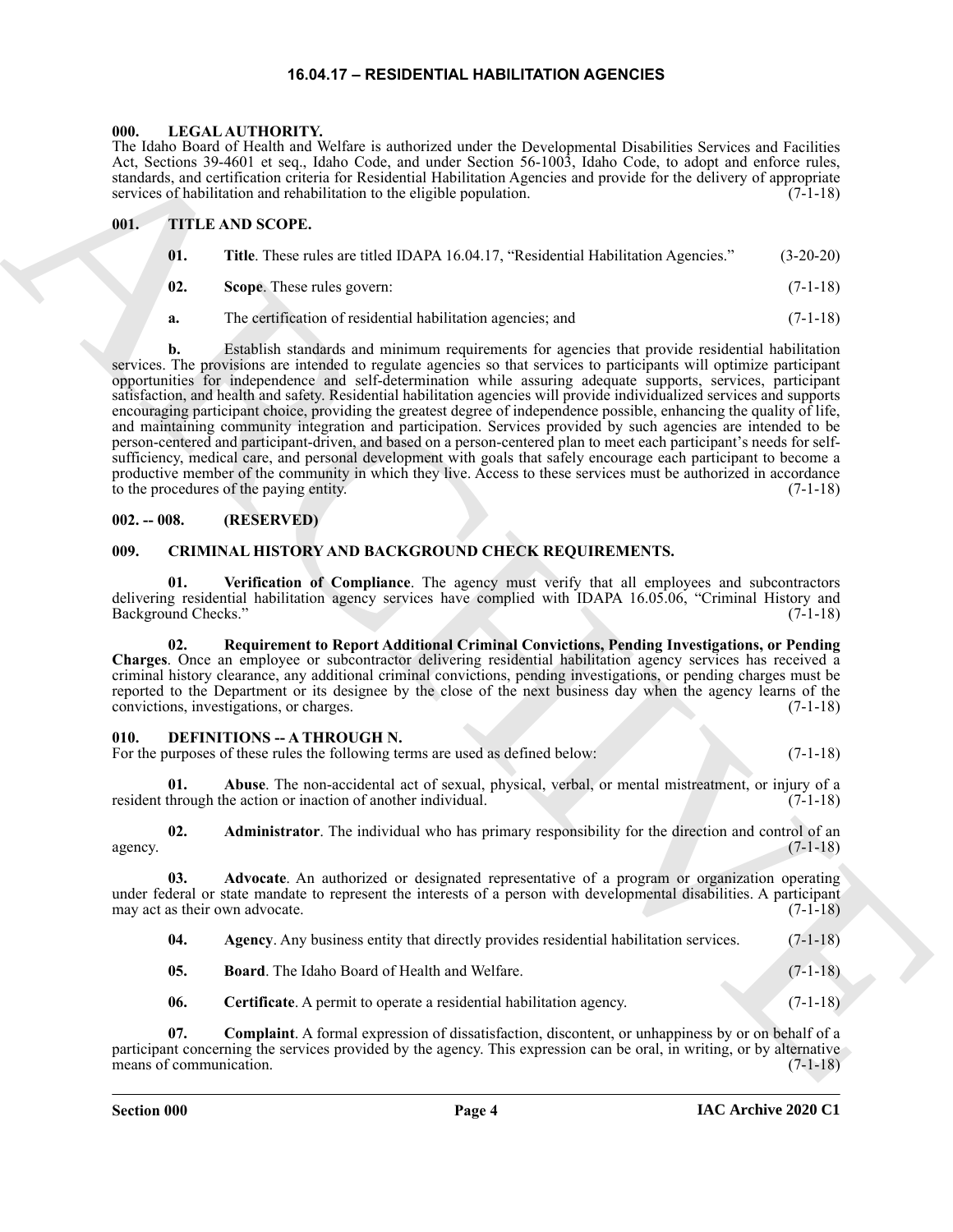#### **16.04.17 – RESIDENTIAL HABILITATION AGENCIES**

#### <span id="page-2-17"></span><span id="page-2-1"></span><span id="page-2-0"></span>**000. LEGAL AUTHORITY.**

The Idaho Board of Health and Welfare is authorized under the Developmental Disabilities Services and Facilities Act, Sections 39-4601 et seq., Idaho Code, and under Section 56-1003, Idaho Code, to adopt and enforce rules, standards, and certification criteria for Residential Habilitation Agencies and provide for the delivery of appropriate services of habilitation and rehabilitation to the eligible population. (7-1-18)

#### <span id="page-2-2"></span>**001. TITLE AND SCOPE.**

<span id="page-2-18"></span>

| 01. | Title. These rules are titled IDAPA 16.04.17, "Residential Habilitation Agencies." | $(3-20-20)$ |
|-----|------------------------------------------------------------------------------------|-------------|
|-----|------------------------------------------------------------------------------------|-------------|

- **02. Scope**. These rules govern: (7-1-18)
- **a.** The certification of residential habilitation agencies; and  $(7-1-18)$

The Main Street of the state of the state of the state of the Depletion of the state of the state of the state of the state of the state of the state of the state of the state of the state of the state of the state of the **b.** Establish standards and minimum requirements for agencies that provide residential habilitation services. The provisions are intended to regulate agencies so that services to participants will optimize participant opportunities for independence and self-determination while assuring adequate supports, services, participant satisfaction, and health and safety. Residential habilitation agencies will provide individualized services and supports encouraging participant choice, providing the greatest degree of independence possible, enhancing the quality of life, and maintaining community integration and participation. Services provided by such agencies are intended to be person-centered and participant-driven, and based on a person-centered plan to meet each participant's needs for selfsufficiency, medical care, and personal development with goals that safely encourage each participant to become a productive member of the community in which they live. Access to these services must be authorized in accordance to the procedures of the paying entity. (7-1-18)

#### <span id="page-2-3"></span>**002. -- 008. (RESERVED)**

#### <span id="page-2-6"></span><span id="page-2-4"></span>**009. CRIMINAL HISTORY AND BACKGROUND CHECK REQUIREMENTS.**

<span id="page-2-8"></span>**01. Verification of Compliance**. The agency must verify that all employees and subcontractors delivering residential habilitation agency services have complied with IDAPA 16.05.06, "Criminal History and Background Checks." (7-1-18) Background Checks."

<span id="page-2-7"></span>**02. Requirement to Report Additional Criminal Convictions, Pending Investigations, or Pending Charges**. Once an employee or subcontractor delivering residential habilitation agency services has received a criminal history clearance, any additional criminal convictions, pending investigations, or pending charges must be reported to the Department or its designee by the close of the next business day when the agency learns of the convictions, investigations, or charges. (7-1-18)

#### <span id="page-2-9"></span><span id="page-2-5"></span>**010. DEFINITIONS -- A THROUGH N.**

| ----- |  |                                                                                |            |
|-------|--|--------------------------------------------------------------------------------|------------|
|       |  | For the purposes of these rules the following terms are used as defined below: | $(7-1-18)$ |

<span id="page-2-10"></span>**01. Abuse**. The non-accidental act of sexual, physical, verbal, or mental mistreatment, or injury of a through the action or inaction of another individual. (7-1-18) resident through the action or inaction of another individual.

<span id="page-2-11"></span>**02. Administrator**. The individual who has primary responsibility for the direction and control of an  $(7-1-18)$ agency.  $(7-1-18)$ 

**03. Advocate**. An authorized or designated representative of a program or organization operating under federal or state mandate to represent the interests of a person with developmental disabilities. A participant may act as their own advocate. (7-1-18)

<span id="page-2-13"></span><span id="page-2-12"></span>

| 04. | Agency. Any business entity that directly provides residential habilitation services. | $(7-1-18)$ |
|-----|---------------------------------------------------------------------------------------|------------|
|     |                                                                                       |            |

- <span id="page-2-15"></span><span id="page-2-14"></span>**05. Board**. The Idaho Board of Health and Welfare. (7-1-18)
- <span id="page-2-16"></span>**06.** Certificate. A permit to operate a residential habilitation agency. (7-1-18)

**07. Complaint**. A formal expression of dissatisfaction, discontent, or unhappiness by or on behalf of a participant concerning the services provided by the agency. This expression can be oral, in writing, or by alternative means of communication.  $(7-1-18)$ 

**Section 000 Page 4**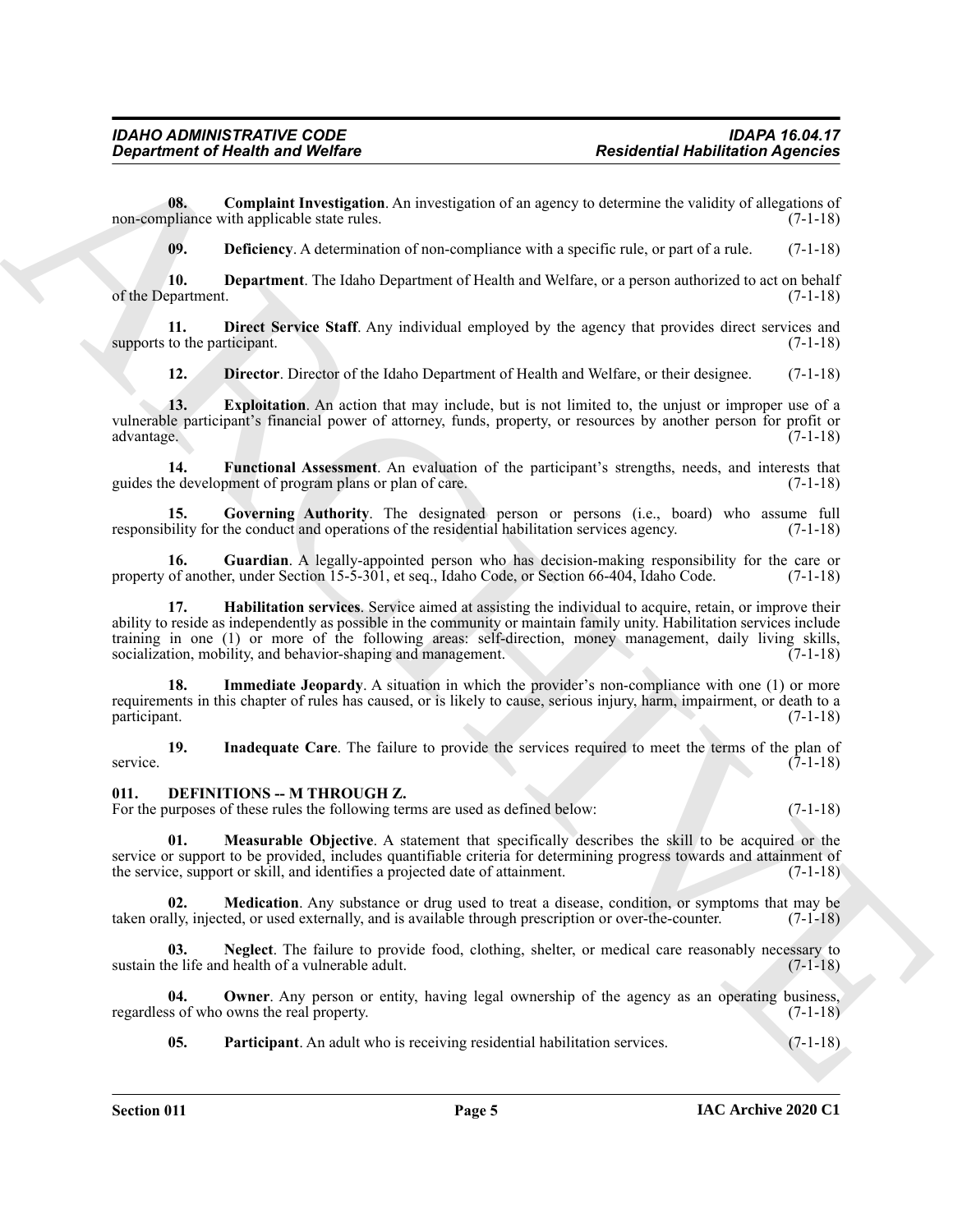**08. Complaint Investigation**. An investigation of an agency to determine the validity of allegations of pliance with applicable state rules. (7-1-18) non-compliance with applicable state rules.

<span id="page-3-3"></span><span id="page-3-2"></span><span id="page-3-1"></span>**09. Deficiency**. A determination of non-compliance with a specific rule, or part of a rule. (7-1-18)

**10. Department**. The Idaho Department of Health and Welfare, or a person authorized to act on behalf partment. (7-1-18) of the Department.

**11. Direct Service Staff**. Any individual employed by the agency that provides direct services and to the participant. (7-1-18) supports to the participant.

<span id="page-3-7"></span><span id="page-3-6"></span><span id="page-3-5"></span><span id="page-3-4"></span>**12. Director**. Director of the Idaho Department of Health and Welfare, or their designee. (7-1-18)

**13. Exploitation**. An action that may include, but is not limited to, the unjust or improper use of a vulnerable participant's financial power of attorney, funds, property, or resources by another person for profit or advantage. (7-1-18)

**14. Functional Assessment**. An evaluation of the participant's strengths, needs, and interests that e development of program plans or plan of care. guides the development of program plans or plan of care.

<span id="page-3-8"></span>**15. Governing Authority**. The designated person or persons (i.e., board) who assume full bility for the conduct and operations of the residential habilitation services agency. (7-1-18) responsibility for the conduct and operations of the residential habilitation services agency.

<span id="page-3-10"></span><span id="page-3-9"></span>**16.** Guardian. A legally-appointed person who has decision-making responsibility for the care or of another, under Section 15-5-301, et seq., Idaho Code, or Section 66-404, Idaho Code. (7-1-18) property of another, under Section 15-5-301, et seq., Idaho Code, or Section 66-404, Idaho Code.

**Exparament of Nearly whole the United States Action of the set of the set of the set of the set of the set of the set of the set of the set of the set of the set of the set of the set of the set of the set of the set of 17. Habilitation services**. Service aimed at assisting the individual to acquire, retain, or improve their ability to reside as independently as possible in the community or maintain family unity. Habilitation services include training in one (1) or more of the following areas: self-direction, money management, daily living skills, socialization, mobility, and behavior-shaping and management. (7-1-18)

<span id="page-3-11"></span>**18. Immediate Jeopardy**. A situation in which the provider's non-compliance with one (1) or more requirements in this chapter of rules has caused, or is likely to cause, serious injury, harm, impairment, or death to a participant. (7-1-18) participant. (7-1-18)

<span id="page-3-12"></span>**19.** Inadequate Care. The failure to provide the services required to meet the terms of the plan of  $(7-1-18)$ service. (7-1-18)

#### <span id="page-3-13"></span><span id="page-3-0"></span>**011. DEFINITIONS -- M THROUGH Z.**

For the purposes of these rules the following terms are used as defined below: (7-1-18)

<span id="page-3-14"></span>**01. Measurable Objective**. A statement that specifically describes the skill to be acquired or the service or support to be provided, includes quantifiable criteria for determining progress towards and attainment of the service, support or skill, and identifies a projected date of attainment. (7-1-18) the service, support or skill, and identifies a projected date of attainment.

<span id="page-3-15"></span>**02. Medication**. Any substance or drug used to treat a disease, condition, or symptoms that may be ully, injected, or used externally, and is available through prescription or over-the-counter. (7-1-18) taken orally, injected, or used externally, and is available through prescription or over-the-counter.

<span id="page-3-16"></span>**03.** Neglect. The failure to provide food, clothing, shelter, or medical care reasonably necessary to ne life and health of a vulnerable adult. (7-1-18) sustain the life and health of a vulnerable adult.

**04. Owner**. Any person or entity, having legal ownership of the agency as an operating business, regardless of who owns the real property. (7-1-18)

<span id="page-3-18"></span><span id="page-3-17"></span>**05. Participant**. An adult who is receiving residential habilitation services. (7-1-18)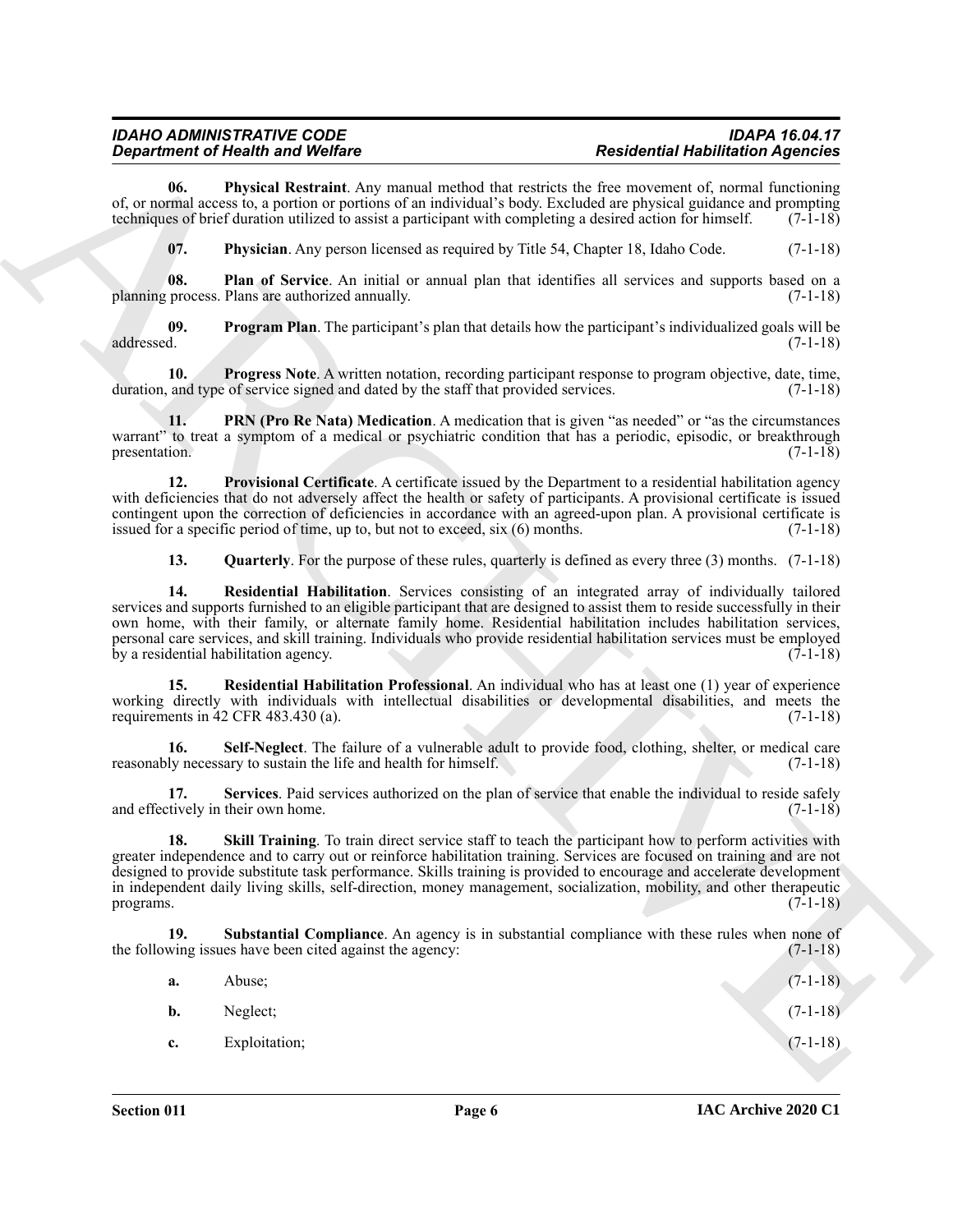<span id="page-4-13"></span><span id="page-4-12"></span><span id="page-4-11"></span><span id="page-4-10"></span><span id="page-4-9"></span><span id="page-4-8"></span><span id="page-4-7"></span><span id="page-4-6"></span><span id="page-4-5"></span><span id="page-4-4"></span><span id="page-4-3"></span><span id="page-4-2"></span><span id="page-4-1"></span><span id="page-4-0"></span>

| 06.<br>of, or normal access to, a portion or portions of an individual's body. Excluded are physical guidance and prompting<br>techniques of brief duration utilized to assist a participant with completing a desired action for himself.<br>07.<br>Physician. Any person licensed as required by Title 54, Chapter 18, Idaho Code.<br>08.<br>planning process. Plans are authorized annually.<br>09.<br>addressed.<br>10.<br>duration, and type of service signed and dated by the staff that provided services.<br>11.<br>warrant" to treat a symptom of a medical or psychiatric condition that has a periodic, episodic, or breakthrough<br>presentation.<br>12.<br>with deficiencies that do not adversely affect the health or safety of participants. A provisional certificate is issued<br>contingent upon the correction of deficiencies in accordance with an agreed-upon plan. A provisional certificate is<br>issued for a specific period of time, up to, but not to exceed, six (6) months.<br>13.<br>14.<br>services and supports furnished to an eligible participant that are designed to assist them to reside successfully in their<br>own home, with their family, or alternate family home. Residential habilitation includes habilitation services,<br>personal care services, and skill training. Individuals who provide residential habilitation services must be employed<br>by a residential habilitation agency.<br>15.<br>working directly with individuals with intellectual disabilities or developmental disabilities, and meets the<br>requirements in 42 CFR 483.430 (a).<br>16.<br>reasonably necessary to sustain the life and health for himself.<br>17.<br>and effectively in their own home.<br>18.<br>greater independence and to carry out or reinforce habilitation training. Services are focused on training and are not<br>designed to provide substitute task performance. Skills training is provided to encourage and accelerate development<br>in independent daily living skills, self-direction, money management, socialization, mobility, and other therapeutic<br>programs.<br>19.<br>the following issues have been cited against the agency:<br>Abuse;<br>a.<br>Neglect;<br>b.<br>Exploitation;<br>c. | <b>Physical Restraint.</b> Any manual method that restricts the free movement of, normal functioning<br>Plan of Service. An initial or annual plan that identifies all services and supports based on a<br><b>Program Plan.</b> The participant's plan that details how the participant's individualized goals will be<br><b>Progress Note.</b> A written notation, recording participant response to program objective, date, time,<br><b>PRN (Pro Re Nata) Medication</b> . A medication that is given "as needed" or "as the circumstances<br>Provisional Certificate. A certificate issued by the Department to a residential habilitation agency<br><b>Quarterly</b> . For the purpose of these rules, quarterly is defined as every three $(3)$ months. $(7-1-18)$<br>Residential Habilitation. Services consisting of an integrated array of individually tailored<br>Residential Habilitation Professional. An individual who has at least one (1) year of experience<br>Self-Neglect. The failure of a vulnerable adult to provide food, clothing, shelter, or medical care<br>Services. Paid services authorized on the plan of service that enable the individual to reside safely<br>Skill Training. To train direct service staff to teach the participant how to perform activities with<br>Substantial Compliance. An agency is in substantial compliance with these rules when none of | <b>Department of Health and Welfare</b> | <b>Residential Habilitation Agencies</b> |            |
|-----------------------------------------------------------------------------------------------------------------------------------------------------------------------------------------------------------------------------------------------------------------------------------------------------------------------------------------------------------------------------------------------------------------------------------------------------------------------------------------------------------------------------------------------------------------------------------------------------------------------------------------------------------------------------------------------------------------------------------------------------------------------------------------------------------------------------------------------------------------------------------------------------------------------------------------------------------------------------------------------------------------------------------------------------------------------------------------------------------------------------------------------------------------------------------------------------------------------------------------------------------------------------------------------------------------------------------------------------------------------------------------------------------------------------------------------------------------------------------------------------------------------------------------------------------------------------------------------------------------------------------------------------------------------------------------------------------------------------------------------------------------------------------------------------------------------------------------------------------------------------------------------------------------------------------------------------------------------------------------------------------------------------------------------------------------------------------------------------------------------------------------------------------------------------------------------------------------------------------------------------------------|--------------------------------------------------------------------------------------------------------------------------------------------------------------------------------------------------------------------------------------------------------------------------------------------------------------------------------------------------------------------------------------------------------------------------------------------------------------------------------------------------------------------------------------------------------------------------------------------------------------------------------------------------------------------------------------------------------------------------------------------------------------------------------------------------------------------------------------------------------------------------------------------------------------------------------------------------------------------------------------------------------------------------------------------------------------------------------------------------------------------------------------------------------------------------------------------------------------------------------------------------------------------------------------------------------------------------------------------------------------------------------------------------------|-----------------------------------------|------------------------------------------|------------|
|                                                                                                                                                                                                                                                                                                                                                                                                                                                                                                                                                                                                                                                                                                                                                                                                                                                                                                                                                                                                                                                                                                                                                                                                                                                                                                                                                                                                                                                                                                                                                                                                                                                                                                                                                                                                                                                                                                                                                                                                                                                                                                                                                                                                                                                                 |                                                                                                                                                                                                                                                                                                                                                                                                                                                                                                                                                                                                                                                                                                                                                                                                                                                                                                                                                                                                                                                                                                                                                                                                                                                                                                                                                                                                        |                                         |                                          | $(7-1-18)$ |
|                                                                                                                                                                                                                                                                                                                                                                                                                                                                                                                                                                                                                                                                                                                                                                                                                                                                                                                                                                                                                                                                                                                                                                                                                                                                                                                                                                                                                                                                                                                                                                                                                                                                                                                                                                                                                                                                                                                                                                                                                                                                                                                                                                                                                                                                 |                                                                                                                                                                                                                                                                                                                                                                                                                                                                                                                                                                                                                                                                                                                                                                                                                                                                                                                                                                                                                                                                                                                                                                                                                                                                                                                                                                                                        |                                         |                                          | $(7-1-18)$ |
|                                                                                                                                                                                                                                                                                                                                                                                                                                                                                                                                                                                                                                                                                                                                                                                                                                                                                                                                                                                                                                                                                                                                                                                                                                                                                                                                                                                                                                                                                                                                                                                                                                                                                                                                                                                                                                                                                                                                                                                                                                                                                                                                                                                                                                                                 |                                                                                                                                                                                                                                                                                                                                                                                                                                                                                                                                                                                                                                                                                                                                                                                                                                                                                                                                                                                                                                                                                                                                                                                                                                                                                                                                                                                                        |                                         |                                          | $(7-1-18)$ |
|                                                                                                                                                                                                                                                                                                                                                                                                                                                                                                                                                                                                                                                                                                                                                                                                                                                                                                                                                                                                                                                                                                                                                                                                                                                                                                                                                                                                                                                                                                                                                                                                                                                                                                                                                                                                                                                                                                                                                                                                                                                                                                                                                                                                                                                                 |                                                                                                                                                                                                                                                                                                                                                                                                                                                                                                                                                                                                                                                                                                                                                                                                                                                                                                                                                                                                                                                                                                                                                                                                                                                                                                                                                                                                        |                                         |                                          | $(7-1-18)$ |
|                                                                                                                                                                                                                                                                                                                                                                                                                                                                                                                                                                                                                                                                                                                                                                                                                                                                                                                                                                                                                                                                                                                                                                                                                                                                                                                                                                                                                                                                                                                                                                                                                                                                                                                                                                                                                                                                                                                                                                                                                                                                                                                                                                                                                                                                 |                                                                                                                                                                                                                                                                                                                                                                                                                                                                                                                                                                                                                                                                                                                                                                                                                                                                                                                                                                                                                                                                                                                                                                                                                                                                                                                                                                                                        |                                         |                                          | $(7-1-18)$ |
|                                                                                                                                                                                                                                                                                                                                                                                                                                                                                                                                                                                                                                                                                                                                                                                                                                                                                                                                                                                                                                                                                                                                                                                                                                                                                                                                                                                                                                                                                                                                                                                                                                                                                                                                                                                                                                                                                                                                                                                                                                                                                                                                                                                                                                                                 |                                                                                                                                                                                                                                                                                                                                                                                                                                                                                                                                                                                                                                                                                                                                                                                                                                                                                                                                                                                                                                                                                                                                                                                                                                                                                                                                                                                                        |                                         |                                          | $(7-1-18)$ |
|                                                                                                                                                                                                                                                                                                                                                                                                                                                                                                                                                                                                                                                                                                                                                                                                                                                                                                                                                                                                                                                                                                                                                                                                                                                                                                                                                                                                                                                                                                                                                                                                                                                                                                                                                                                                                                                                                                                                                                                                                                                                                                                                                                                                                                                                 |                                                                                                                                                                                                                                                                                                                                                                                                                                                                                                                                                                                                                                                                                                                                                                                                                                                                                                                                                                                                                                                                                                                                                                                                                                                                                                                                                                                                        |                                         |                                          | $(7-1-18)$ |
|                                                                                                                                                                                                                                                                                                                                                                                                                                                                                                                                                                                                                                                                                                                                                                                                                                                                                                                                                                                                                                                                                                                                                                                                                                                                                                                                                                                                                                                                                                                                                                                                                                                                                                                                                                                                                                                                                                                                                                                                                                                                                                                                                                                                                                                                 |                                                                                                                                                                                                                                                                                                                                                                                                                                                                                                                                                                                                                                                                                                                                                                                                                                                                                                                                                                                                                                                                                                                                                                                                                                                                                                                                                                                                        |                                         |                                          |            |
|                                                                                                                                                                                                                                                                                                                                                                                                                                                                                                                                                                                                                                                                                                                                                                                                                                                                                                                                                                                                                                                                                                                                                                                                                                                                                                                                                                                                                                                                                                                                                                                                                                                                                                                                                                                                                                                                                                                                                                                                                                                                                                                                                                                                                                                                 |                                                                                                                                                                                                                                                                                                                                                                                                                                                                                                                                                                                                                                                                                                                                                                                                                                                                                                                                                                                                                                                                                                                                                                                                                                                                                                                                                                                                        |                                         |                                          | $(7-1-18)$ |
|                                                                                                                                                                                                                                                                                                                                                                                                                                                                                                                                                                                                                                                                                                                                                                                                                                                                                                                                                                                                                                                                                                                                                                                                                                                                                                                                                                                                                                                                                                                                                                                                                                                                                                                                                                                                                                                                                                                                                                                                                                                                                                                                                                                                                                                                 |                                                                                                                                                                                                                                                                                                                                                                                                                                                                                                                                                                                                                                                                                                                                                                                                                                                                                                                                                                                                                                                                                                                                                                                                                                                                                                                                                                                                        |                                         |                                          | $(7-1-18)$ |
|                                                                                                                                                                                                                                                                                                                                                                                                                                                                                                                                                                                                                                                                                                                                                                                                                                                                                                                                                                                                                                                                                                                                                                                                                                                                                                                                                                                                                                                                                                                                                                                                                                                                                                                                                                                                                                                                                                                                                                                                                                                                                                                                                                                                                                                                 |                                                                                                                                                                                                                                                                                                                                                                                                                                                                                                                                                                                                                                                                                                                                                                                                                                                                                                                                                                                                                                                                                                                                                                                                                                                                                                                                                                                                        |                                         |                                          | $(7-1-18)$ |
|                                                                                                                                                                                                                                                                                                                                                                                                                                                                                                                                                                                                                                                                                                                                                                                                                                                                                                                                                                                                                                                                                                                                                                                                                                                                                                                                                                                                                                                                                                                                                                                                                                                                                                                                                                                                                                                                                                                                                                                                                                                                                                                                                                                                                                                                 |                                                                                                                                                                                                                                                                                                                                                                                                                                                                                                                                                                                                                                                                                                                                                                                                                                                                                                                                                                                                                                                                                                                                                                                                                                                                                                                                                                                                        |                                         |                                          | $(7-1-18)$ |
|                                                                                                                                                                                                                                                                                                                                                                                                                                                                                                                                                                                                                                                                                                                                                                                                                                                                                                                                                                                                                                                                                                                                                                                                                                                                                                                                                                                                                                                                                                                                                                                                                                                                                                                                                                                                                                                                                                                                                                                                                                                                                                                                                                                                                                                                 |                                                                                                                                                                                                                                                                                                                                                                                                                                                                                                                                                                                                                                                                                                                                                                                                                                                                                                                                                                                                                                                                                                                                                                                                                                                                                                                                                                                                        |                                         |                                          | $(7-1-18)$ |
|                                                                                                                                                                                                                                                                                                                                                                                                                                                                                                                                                                                                                                                                                                                                                                                                                                                                                                                                                                                                                                                                                                                                                                                                                                                                                                                                                                                                                                                                                                                                                                                                                                                                                                                                                                                                                                                                                                                                                                                                                                                                                                                                                                                                                                                                 |                                                                                                                                                                                                                                                                                                                                                                                                                                                                                                                                                                                                                                                                                                                                                                                                                                                                                                                                                                                                                                                                                                                                                                                                                                                                                                                                                                                                        |                                         |                                          | $(7-1-18)$ |
|                                                                                                                                                                                                                                                                                                                                                                                                                                                                                                                                                                                                                                                                                                                                                                                                                                                                                                                                                                                                                                                                                                                                                                                                                                                                                                                                                                                                                                                                                                                                                                                                                                                                                                                                                                                                                                                                                                                                                                                                                                                                                                                                                                                                                                                                 |                                                                                                                                                                                                                                                                                                                                                                                                                                                                                                                                                                                                                                                                                                                                                                                                                                                                                                                                                                                                                                                                                                                                                                                                                                                                                                                                                                                                        |                                         |                                          | $(7-1-18)$ |
|                                                                                                                                                                                                                                                                                                                                                                                                                                                                                                                                                                                                                                                                                                                                                                                                                                                                                                                                                                                                                                                                                                                                                                                                                                                                                                                                                                                                                                                                                                                                                                                                                                                                                                                                                                                                                                                                                                                                                                                                                                                                                                                                                                                                                                                                 |                                                                                                                                                                                                                                                                                                                                                                                                                                                                                                                                                                                                                                                                                                                                                                                                                                                                                                                                                                                                                                                                                                                                                                                                                                                                                                                                                                                                        |                                         |                                          | $(7-1-18)$ |
|                                                                                                                                                                                                                                                                                                                                                                                                                                                                                                                                                                                                                                                                                                                                                                                                                                                                                                                                                                                                                                                                                                                                                                                                                                                                                                                                                                                                                                                                                                                                                                                                                                                                                                                                                                                                                                                                                                                                                                                                                                                                                                                                                                                                                                                                 |                                                                                                                                                                                                                                                                                                                                                                                                                                                                                                                                                                                                                                                                                                                                                                                                                                                                                                                                                                                                                                                                                                                                                                                                                                                                                                                                                                                                        |                                         |                                          | $(7-1-18)$ |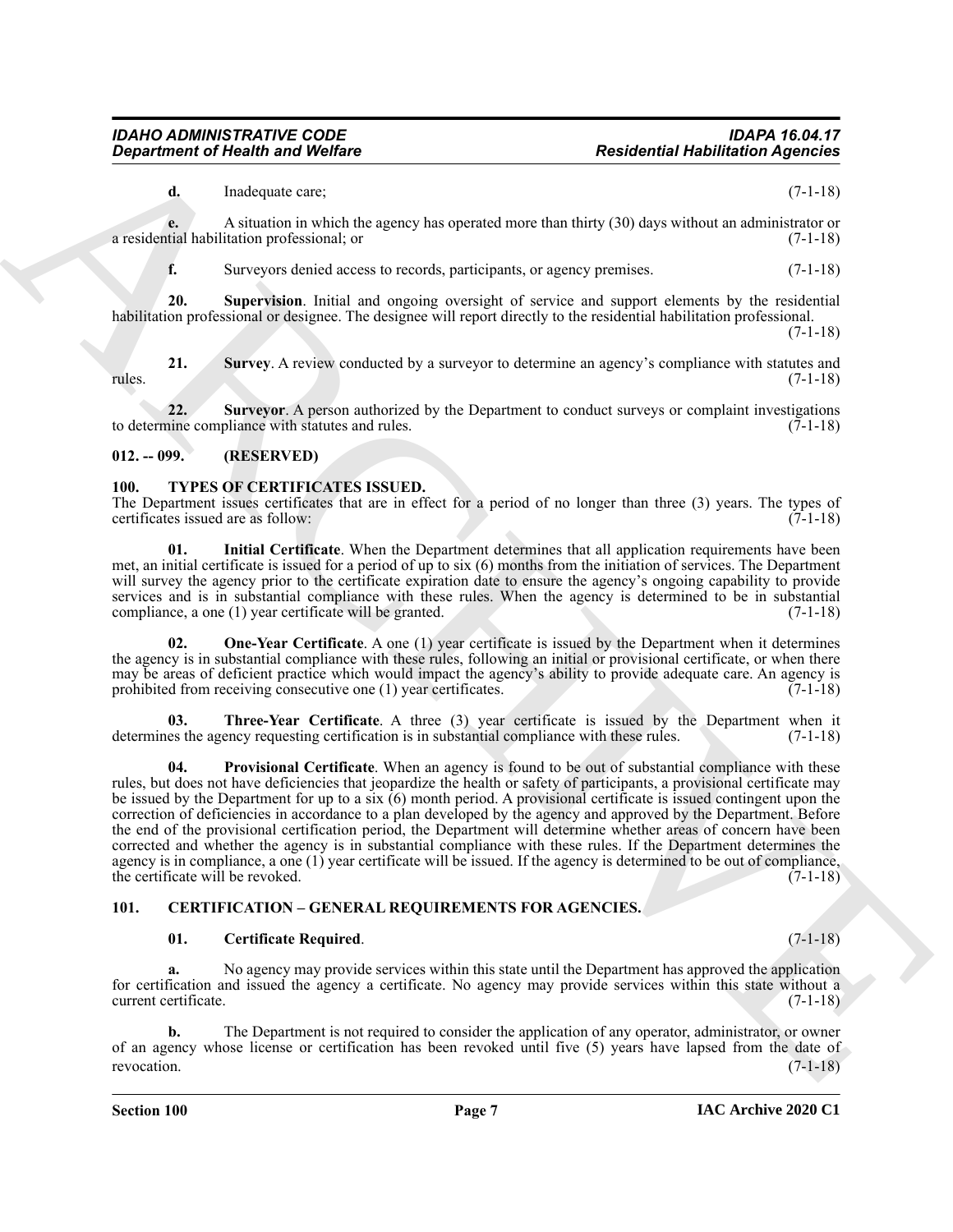**d.** Inadequate care; (7-1-18)

**e.** A situation in which the agency has operated more than thirty (30) days without an administrator or tial habilitation professional; or (7-1-18) a residential habilitation professional; or

<span id="page-5-6"></span><span id="page-5-5"></span>**f.** Surveyors denied access to records, participants, or agency premises. (7-1-18)

**20. Supervision**. Initial and ongoing oversight of service and support elements by the residential habilitation professional or designee. The designee will report directly to the residential habilitation professional.

(7-1-18)

**21.** Survey. A review conducted by a surveyor to determine an agency's compliance with statutes and  $(7-1-18)$ rules. (7-1-18)

<span id="page-5-7"></span>**22. Surveyor**. A person authorized by the Department to conduct surveys or complaint investigations to determine compliance with statutes and rules.  $(7-1-18)$ 

#### <span id="page-5-0"></span>**012. -- 099. (RESERVED)**

#### <span id="page-5-8"></span>**100. TYPES OF CERTIFICATES ISSUED.**

<span id="page-5-1"></span>The Department issues certificates that are in effect for a period of no longer than three (3) years. The types of certificates issued are as follow:  $(7-1-18)$ certificates issued are as follow:

<span id="page-5-9"></span>**01. Initial Certificate**. When the Department determines that all application requirements have been met, an initial certificate is issued for a period of up to six (6) months from the initiation of services. The Department will survey the agency prior to the certificate expiration date to ensure the agency's ongoing capability to provide services and is in substantial compliance with these rules. When the agency is determined to be in substantial compliance, a one (1) year certificate will be granted. (7-1-18)

<span id="page-5-10"></span>**02.** One-Year Certificate. A one (1) year certificate is issued by the Department when it determines the agency is in substantial compliance with these rules, following an initial or provisional certificate, or when there may be areas of deficient practice which would impact the agency's ability to provide adequate care. An agency is prohibited from receiving consecutive one (1) year certificates. (7-1-18) prohibited from receiving consecutive one  $(1)$  year certificates.

<span id="page-5-12"></span><span id="page-5-11"></span>**Three-Year Certificate**. A three (3) year certificate is issued by the Department when it ency requesting certification is in substantial compliance with these rules. (7-1-18) determines the agency requesting certification is in substantial compliance with these rules.

**Exparament of Nearly was Wedlere Residential Hublindical Application** Application Application (19)  $\frac{1}{2}$  and  $\frac{1}{2}$  and  $\frac{1}{2}$  and  $\frac{1}{2}$  and  $\frac{1}{2}$  and  $\frac{1}{2}$  and  $\frac{1}{2}$  and  $\frac{1}{2}$  and  $\frac{1}{2$ **04. Provisional Certificate**. When an agency is found to be out of substantial compliance with these rules, but does not have deficiencies that jeopardize the health or safety of participants, a provisional certificate may be issued by the Department for up to a six (6) month period. A provisional certificate is issued contingent upon the correction of deficiencies in accordance to a plan developed by the agency and approved by the Department. Before the end of the provisional certification period, the Department will determine whether areas of concern have been corrected and whether the agency is in substantial compliance with these rules. If the Department determines the agency is in compliance, a one (1) year certificate will be issued. If the agency is determined to be out of compliance, the certificate will be revoked.  $(7-1-18)$ 

#### <span id="page-5-2"></span>**101. CERTIFICATION – GENERAL REQUIREMENTS FOR AGENCIES.**

#### <span id="page-5-4"></span><span id="page-5-3"></span>**01. Certificate Required**. (7-1-18)

**a.** No agency may provide services within this state until the Department has approved the application for certification and issued the agency a certificate. No agency may provide services within this state without a current certificate. (7-1-18)

**b.** The Department is not required to consider the application of any operator, administrator, or owner of an agency whose license or certification has been revoked until five (5) years have lapsed from the date of revocation. (7-1-18)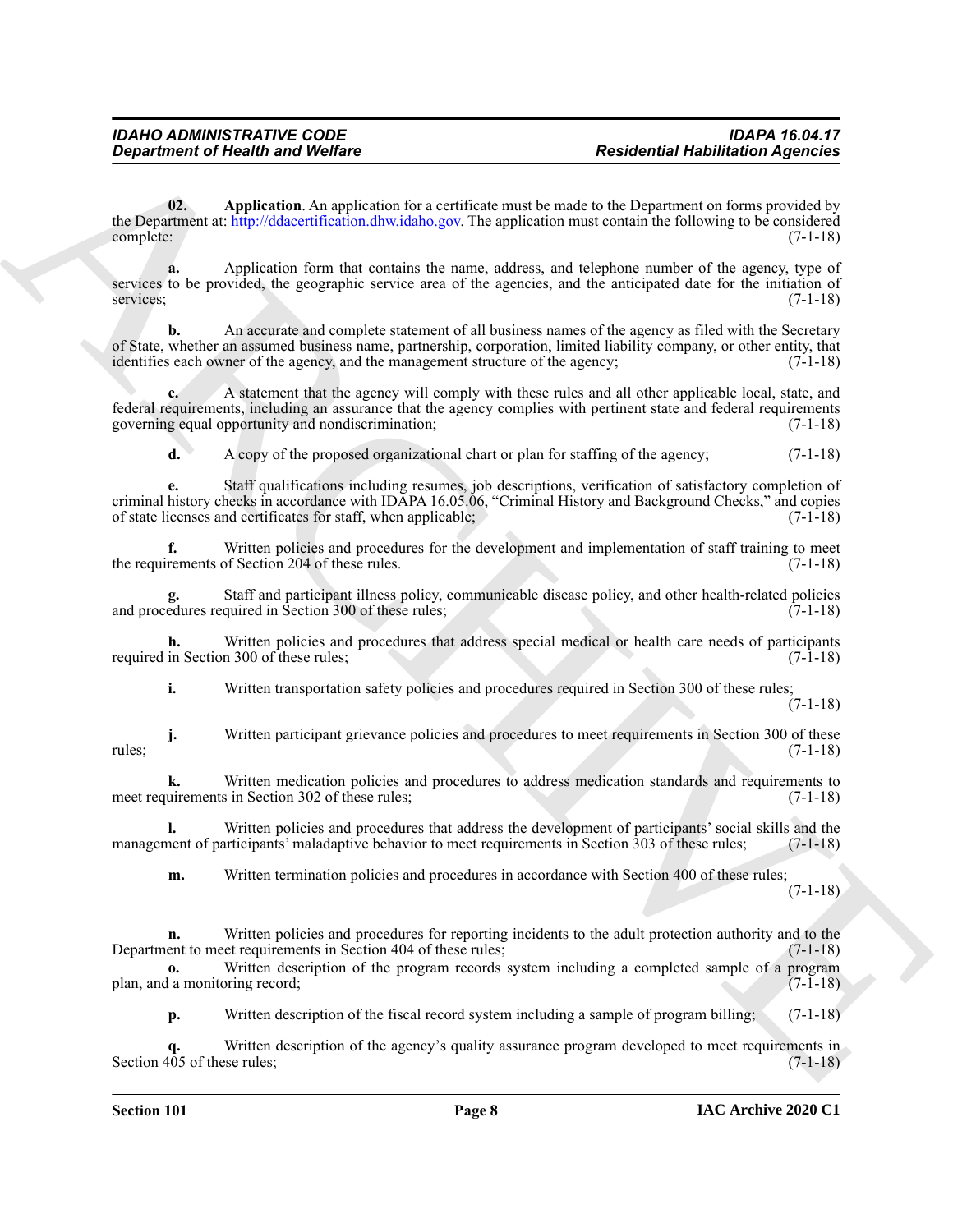<span id="page-6-0"></span>**02. Application**. An application for a certificate must be made to the Department on forms provided by the Department at: http://ddacertification.dhw.idaho.gov. The application must contain the following to be considered complete: (7-1-18) complete: (7-1-18)

**a.** Application form that contains the name, address, and telephone number of the agency, type of services to be provided, the geographic service area of the agencies, and the anticipated date for the initiation of services; (7-1-18) services; (7-1-18)

**b.** An accurate and complete statement of all business names of the agency as filed with the Secretary of State, whether an assumed business name, partnership, corporation, limited liability company, or other entity, that identifies each owner of the agency, and the management structure of the agency; (7-1-18)

**c.** A statement that the agency will comply with these rules and all other applicable local, state, and federal requirements, including an assurance that the agency complies with pertinent state and federal requirements governing equal opportunity and nondiscrimination; (7-1-18)

**d.** A copy of the proposed organizational chart or plan for staffing of the agency; (7-1-18)

**Exparament of Nealth and Wolfare**<br> **Residential Hublindical [A](http://ddacertification.dhw.idaho.gov)gencies**<br> **Residential Mublindical Agencies**<br> **ARCHIVES ARCHIVES ARCHIVES ARCHIVES ARCHIVES ARCHIVES ARCHIVES ARCHIVES ARCHIVES ARCHIVES ARCHIVES ARCHIVES ARCH e.** Staff qualifications including resumes, job descriptions, verification of satisfactory completion of criminal history checks in accordance with IDAPA 16.05.06, "Criminal History and Background Checks," and copies of state licenses and certificates for staff, when applicable; (7-1-18)

**f.** Written policies and procedures for the development and implementation of staff training to meet rements of Section 204 of these rules. (7-1-18) the requirements of Section 204 of these rules.

**g.** Staff and participant illness policy, communicable disease policy, and other health-related policies and procedures required in Section 300 of these rules; (7-1-18)

**h.** Written policies and procedures that address special medical or health care needs of participants in Section 300 of these rules; (7-1-18) required in Section 300 of these rules;

**i.** Written transportation safety policies and procedures required in Section 300 of these rules;

(7-1-18)

**j.** Written participant grievance policies and procedures to meet requirements in Section 300 of these (7-1-18) rules; (7-1-18)

**k.** Written medication policies and procedures to address medication standards and requirements to uirements in Section 302 of these rules; (7-1-18) meet requirements in Section 302 of these rules;

**l.** Written policies and procedures that address the development of participants' social skills and the nent of participants' maladaptive behavior to meet requirements in Section 303 of these rules; (7-1-18) management of participants' maladaptive behavior to meet requirements in Section 303 of these rules;

**m.** Written termination policies and procedures in accordance with Section 400 of these rules;

(7-1-18)

**n.** Written policies and procedures for reporting incidents to the adult protection authority and to the ent to meet requirements in Section 404 of these rules; Department to meet requirements in Section 404 of these rules;

**o.** Written description of the program records system including a completed sample of a program 1 a monitoring record; (7-1-18) plan, and a monitoring record;

**p.** Written description of the fiscal record system including a sample of program billing; (7-1-18)

**q.** Written description of the agency's quality assurance program developed to meet requirements in Section 405 of these rules; (7-1-18)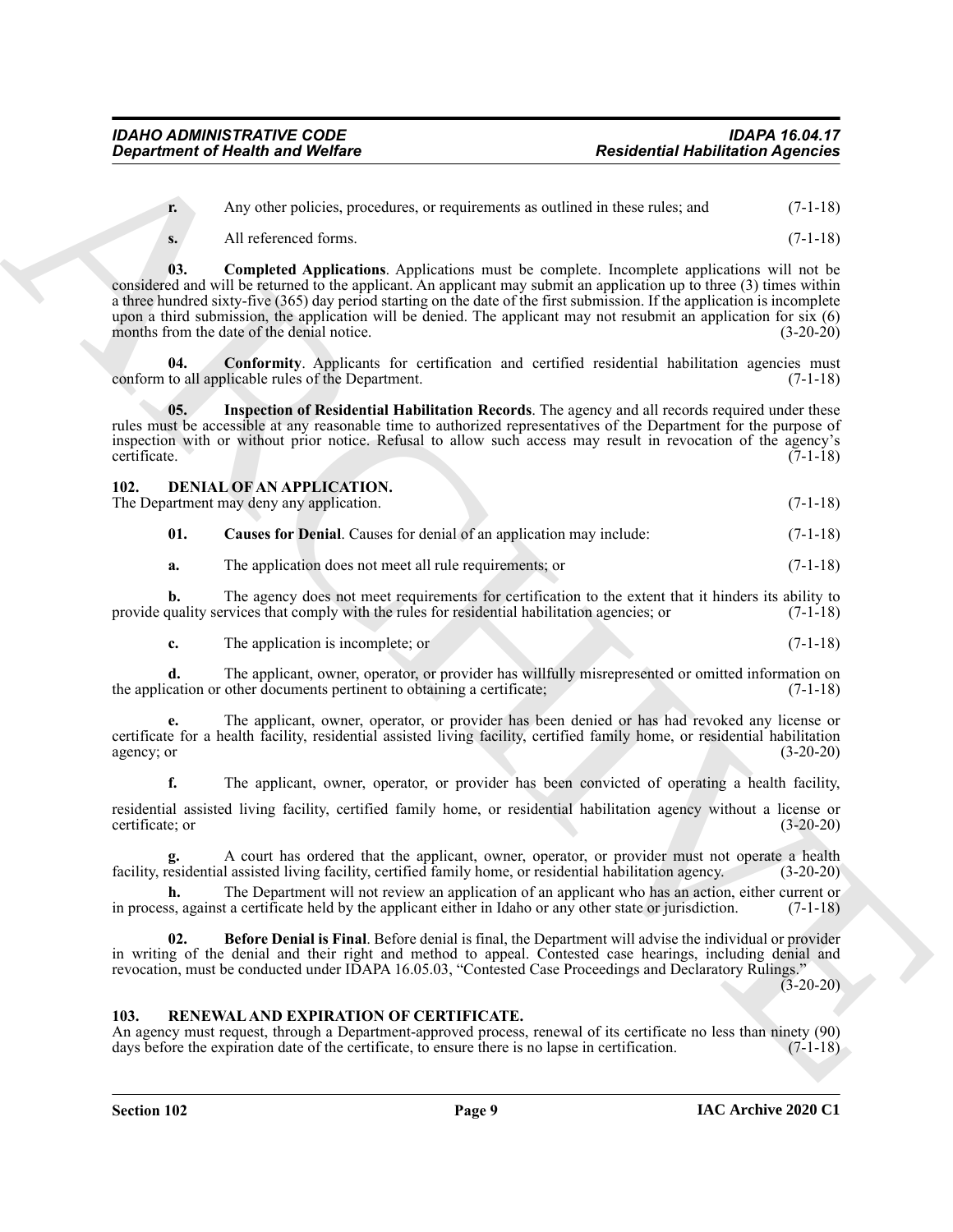**r.** Any other policies, procedures, or requirements as outlined in these rules; and  $(7-1-18)$ 

**s.** All referenced forms. (7-1-18)

**Expansion of Neath weak Welfare**<br>
Any other sales approximate, or explication to the significant and  $\alpha$  (1-1.18)<br>
A ARCHIVE CONTINUES AND CONTINUES INTO the control of the significant and the significant and the signif **03. Completed Applications**. Applications must be complete. Incomplete applications will not be considered and will be returned to the applicant. An applicant may submit an application up to three (3) times within a three hundred sixty-five (365) day period starting on the date of the first submission. If the application is incomplete upon a third submission, the application will be denied. The applicant may not resubmit an application for six  $(6)$  months from the date of the denial notice.  $(3-20-20)$ months from the date of the denial notice.

<span id="page-7-2"></span>**04.** Conformity. Applicants for certification and certified residential habilitation agencies must to all applicable rules of the Department. (7-1-18) conform to all applicable rules of the Department.

<span id="page-7-3"></span>**05. Inspection of Residential Habilitation Records**. The agency and all records required under these rules must be accessible at any reasonable time to authorized representatives of the Department for the purpose of inspection with or without prior notice. Refusal to allow such access may result in revocation of the agency's certificate. (7-1-18)

<span id="page-7-0"></span>

| 102.<br>DENIAL OF AN APPLICATION.        |            |
|------------------------------------------|------------|
| The Department may deny any application. | $(7-1-18)$ |

<span id="page-7-6"></span><span id="page-7-4"></span>**01. Causes for Denial**. Causes for denial of an application may include: (7-1-18)

**a.** The application does not meet all rule requirements; or  $(7-1-18)$ 

**b.** The agency does not meet requirements for certification to the extent that it hinders its ability to provide quality services that comply with the rules for residential habilitation agencies; or (7-1-18)

**c.** The application is incomplete; or (7-1-18)

**d.** The applicant, owner, operator, or provider has willfully misrepresented or omitted information on cation or other documents pertinent to obtaining a certificate; (7-1-18) the application or other documents pertinent to obtaining a certificate;

**e.** The applicant, owner, operator, or provider has been denied or has had revoked any license or certificate for a health facility, residential assisted living facility, certified family home, or residential habilitation agency; or  $(3-20-20)$ 

**f.** The applicant, owner, operator, or provider has been convicted of operating a health facility,

residential assisted living facility, certified family home, or residential habilitation agency without a license or certificate; or (3-20-20) certificate; or (3-20-20)

A court has ordered that the applicant, owner, operator, or provider must not operate a health I assisted living facility, certified family home, or residential habilitation agency. (3-20-20) facility, residential assisted living facility, certified family home, or residential habilitation agency.

The Department will not review an application of an applicant who has an action, either current or t a certificate held by the applicant either in Idaho or any other state or jurisdiction. (7-1-18) in process, against a certificate held by the applicant either in Idaho or any other state or jurisdiction.

<span id="page-7-5"></span>**02. Before Denial is Final**. Before denial is final, the Department will advise the individual or provider in writing of the denial and their right and method to appeal. Contested case hearings, including denial and revocation, must be conducted under IDAPA 16.05.03, "Contested Case Proceedings and Declaratory Rulings."

 $(3-20-20)$ 

#### <span id="page-7-7"></span>**103. RENEWAL AND EXPIRATION OF CERTIFICATE.**

<span id="page-7-1"></span>An agency must request, through a Department-approved process, renewal of its certificate no less than ninety (90) days before the expiration date of the certificate, to ensure there is no lapse in certification. (7-1-18)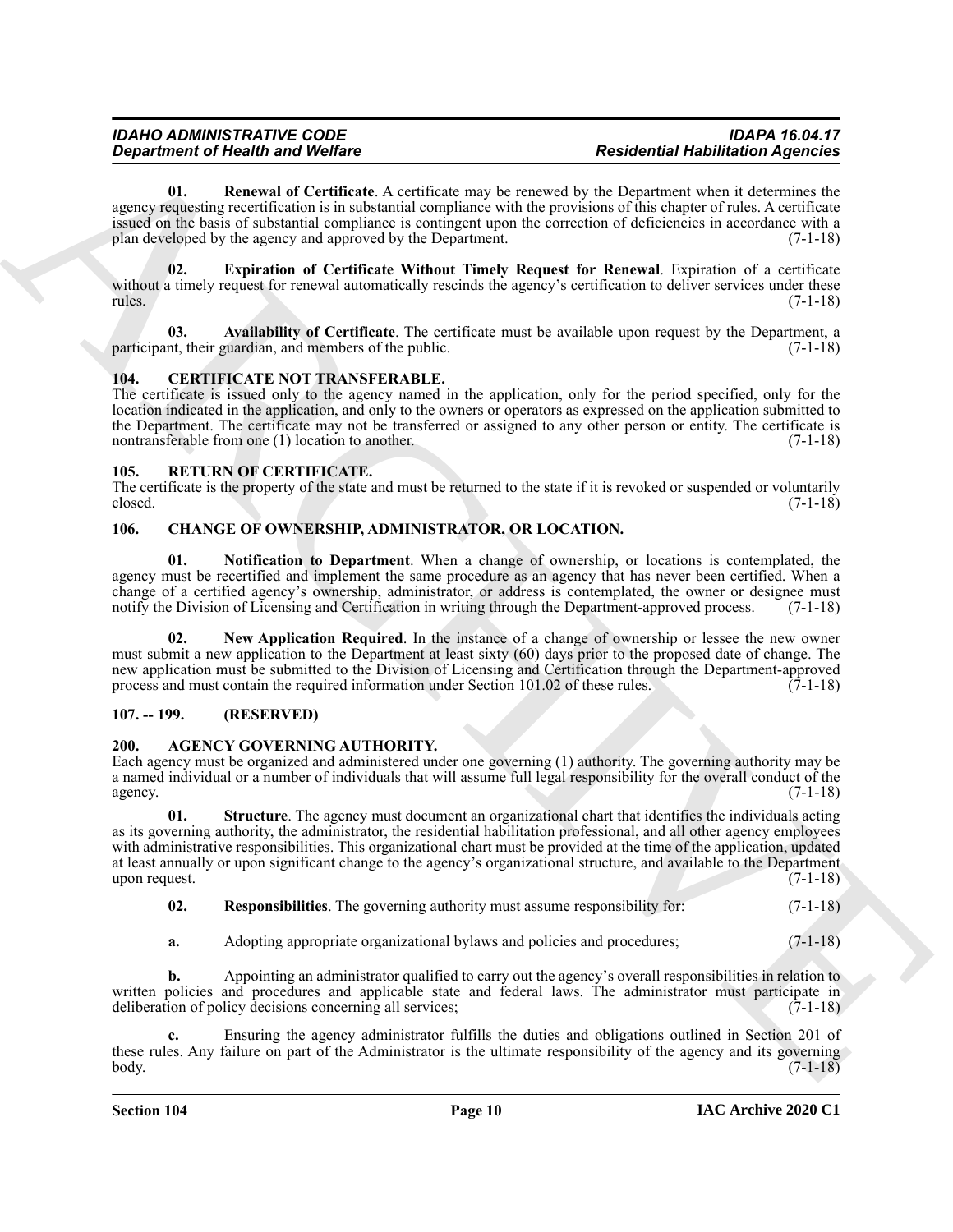<span id="page-8-14"></span>**01. Renewal of Certificate**. A certificate may be renewed by the Department when it determines the agency requesting recertification is in substantial compliance with the provisions of this chapter of rules. A certificate issued on the basis of substantial compliance is contingent upon the correction of deficiencies in accordance with a plan developed by the agency and approved by the Department. (7-1-18) plan developed by the agency and approved by the Department.

<span id="page-8-13"></span>**02. Expiration of Certificate Without Timely Request for Renewal**. Expiration of a certificate without a timely request for renewal automatically rescinds the agency's certification to deliver services under these rules. (7-1-18) rules. (7-1-18)

<span id="page-8-12"></span>**03. Availability of Certificate**. The certificate must be available upon request by the Department, a participant, their guardian, and members of the public.

#### <span id="page-8-8"></span>**104. CERTIFICATE NOT TRANSFERABLE.**

<span id="page-8-0"></span>The certificate is issued only to the agency named in the application, only for the period specified, only for the location indicated in the application, and only to the owners or operators as expressed on the application submitted to the Department. The certificate may not be transferred or assigned to any other person or entity. The certificate is nontransferable from one (1) location to another. nontransferable from one  $(1)$  location to another.

#### <span id="page-8-15"></span>**105. RETURN OF CERTIFICATE.**

<span id="page-8-1"></span>The certificate is the property of the state and must be returned to the state if it is revoked or suspended or voluntarily closed. (7-1-18) closed. (7-1-18)

#### <span id="page-8-9"></span><span id="page-8-2"></span>**106. CHANGE OF OWNERSHIP, ADMINISTRATOR, OR LOCATION.**

<span id="page-8-11"></span>**01. Notification to Department**. When a change of ownership, or locations is contemplated, the agency must be recertified and implement the same procedure as an agency that has never been certified. When a change of a certified agency's ownership, administrator, or address is contemplated, the owner or designee must notify the Division of Licensing and Certification in writing through the Department-approved process. (7-1-18)

<span id="page-8-10"></span>**02. New Application Required**. In the instance of a change of ownership or lessee the new owner must submit a new application to the Department at least sixty (60) days prior to the proposed date of change. The new application must be submitted to the Division of Licensing and Certification through the Department-approved<br>process and must contain the required information under Section 101.02 of these rules. (7-1-18) process and must contain the required information under Section 101.02 of these rules.

#### <span id="page-8-3"></span>**107. -- 199. (RESERVED)**

#### <span id="page-8-5"></span>**200. AGENCY GOVERNING AUTHORITY.**

<span id="page-8-4"></span>Each agency must be organized and administered under one governing (1) authority. The governing authority may be a named individual or a number of individuals that will assume full legal responsibility for the overall conduct of the agency.  $(7-1-18)$ 

*Department of Nearly was Welfare*<br>
ARCHIVER CONTENTS and be every also the state of the state of the state of the state of the state of the state of the state of the state of the state of the state of the state of the **01. Structure**. The agency must document an organizational chart that identifies the individuals acting as its governing authority, the administrator, the residential habilitation professional, and all other agency employees with administrative responsibilities. This organizational chart must be provided at the time of the application, updated at least annually or upon significant change to the agency's organizational structure, and available to the Department upon request.  $(7-1-18)$ 

<span id="page-8-7"></span>**02. Responsibilities**. The governing authority must assume responsibility for:  $(7-1-18)$ 

<span id="page-8-6"></span>**a.** Adopting appropriate organizational bylaws and policies and procedures;  $(7-1-18)$ 

**b.** Appointing an administrator qualified to carry out the agency's overall responsibilities in relation to written policies and procedures and applicable state and federal laws. The administrator must participate in deliberation of policy decisions concerning all services; (7-1-18) deliberation of policy decisions concerning all services;

**c.** Ensuring the agency administrator fulfills the duties and obligations outlined in Section 201 of these rules. Any failure on part of the Administrator is the ultimate responsibility of the agency and its governing body. (7-1-18) body. (7-1-18)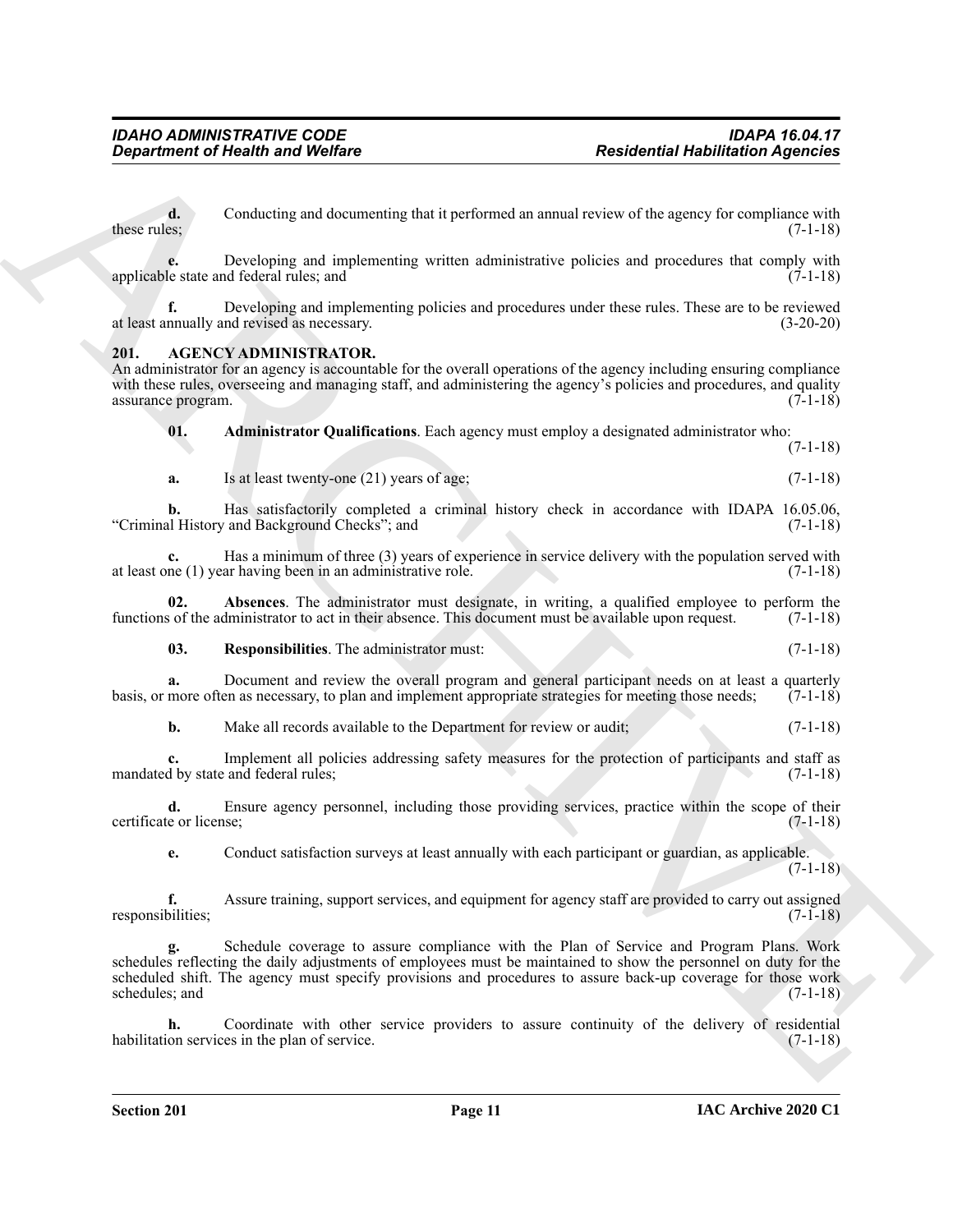**d.** Conducting and documenting that it performed an annual review of the agency for compliance with these rules; (7-1-18) these rules;  $(7-1-18)$ 

**e.** Developing and implementing written administrative policies and procedures that comply with le state and federal rules; and (7-1-18) applicable state and federal rules; and

**f.** Developing and implementing policies and procedures under these rules. These are to be reviewed nnually and revised as necessary. (3-20-20) at least annually and revised as necessary.

#### <span id="page-9-1"></span>**201. AGENCY ADMINISTRATOR.**

<span id="page-9-0"></span>An administrator for an agency is accountable for the overall operations of the agency including ensuring compliance with these rules, overseeing and managing staff, and administering the agency's policies and procedures, and quality assurance program. (7-1-18) assurance program.

<span id="page-9-3"></span>**01. Administrator Qualifications**. Each agency must employ a designated administrator who:

 $(7-1-18)$ 

**a.** Is at least twenty-one (21) years of age; (7-1-18)

**b.** Has satisfactorily completed a criminal history check in accordance with IDAPA 16.05.06, lead History and Background Checks<sup>2</sup>; and (7-1-18) "Criminal History and Background Checks"; and

**c.** Has a minimum of three (3) years of experience in service delivery with the population served with ne (1) year having been in an administrative role. (7-1-18) at least one  $(1)$  year having been in an administrative role.

**02. Absences**. The administrator must designate, in writing, a qualified employee to perform the sof the administrator to act in their absence. This document must be available upon request. (7-1-18) functions of the administrator to act in their absence. This document must be available upon request.

<span id="page-9-4"></span><span id="page-9-2"></span>**03. Responsibilities**. The administrator must: (7-1-18)

**a.** Document and review the overall program and general participant needs on at least a quarterly more often as necessary, to plan and implement appropriate strategies for meeting those needs: (7-1-18) basis, or more often as necessary, to plan and implement appropriate strategies for meeting those needs;

**b.** Make all records available to the Department for review or audit;  $(7-1-18)$ 

**c.** Implement all policies addressing safety measures for the protection of participants and staff as <br>d by state and federal rules: (7-1-18) mandated by state and federal rules;

**d.** Ensure agency personnel, including those providing services, practice within the scope of their e or license; (7-1-18) certificate or license:

**e.** Conduct satisfaction surveys at least annually with each participant or guardian, as applicable. (7-1-18)

**f.** Assure training, support services, and equipment for agency staff are provided to carry out assigned responsibilities; (7-1-18)

*Government of Newthern* and Wolfare *Residential Hublington Agencies***<br>
Archives the Conduction and Communication Construction and Construction and Procedures ARCHIVES (Dependent Construction and Communication and Comm g.** Schedule coverage to assure compliance with the Plan of Service and Program Plans. Work schedules reflecting the daily adjustments of employees must be maintained to show the personnel on duty for the scheduled shift. The agency must specify provisions and procedures to assure back-up coverage for those work schedules; and (7-1-18) schedules; and

**h.** Coordinate with other service providers to assure continuity of the delivery of residential habilitation services in the plan of service. (7-1-18)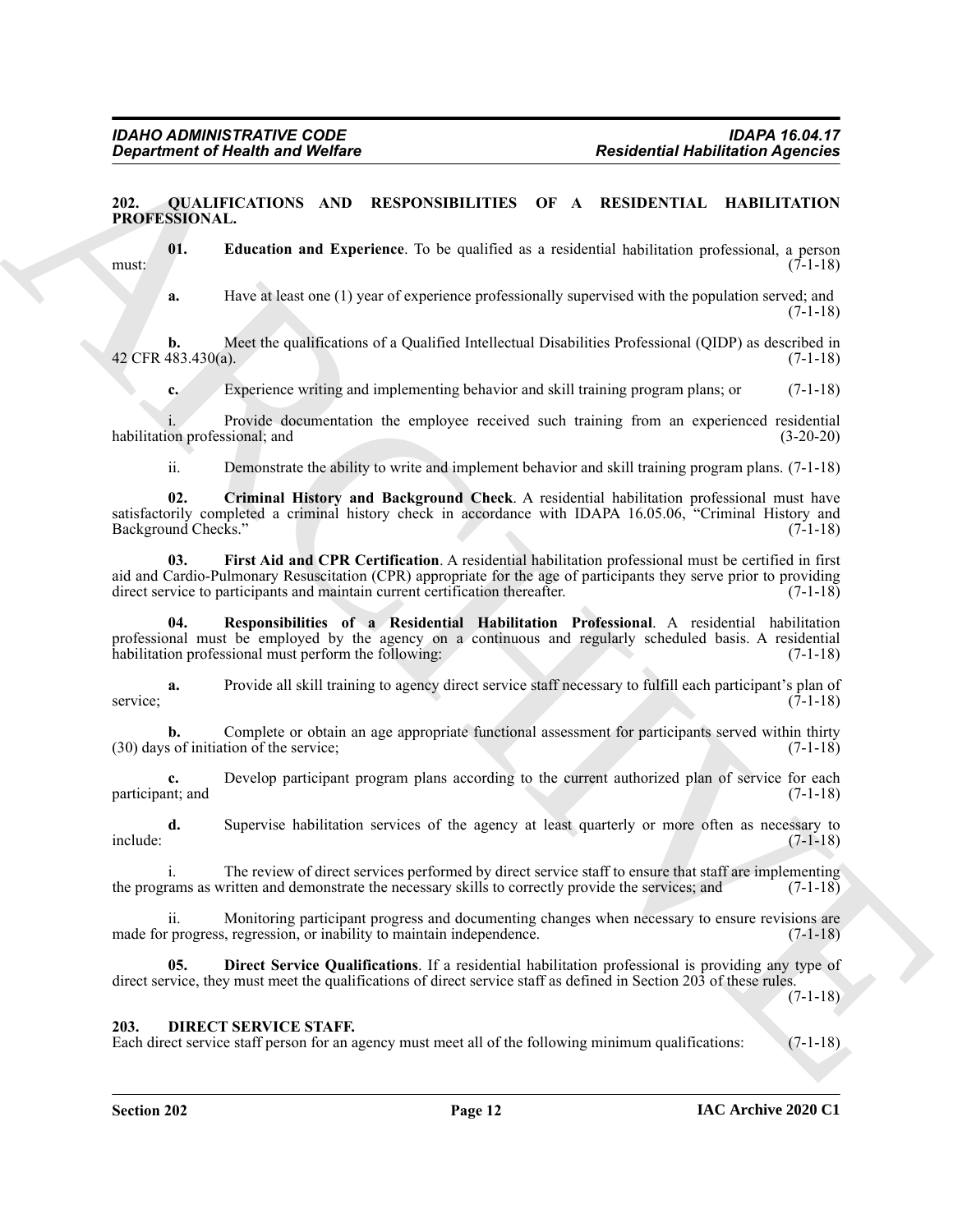#### <span id="page-10-3"></span><span id="page-10-0"></span>**202. QUALIFICATIONS AND RESPONSIBILITIES OF A RESIDENTIAL HABILITATION PROFESSIONAL.**

**01. Education and Experience**. To be qualified as a residential habilitation professional, a person must:  $(7-1-18)$ 

<span id="page-10-6"></span>**a.** Have at least one (1) year of experience professionally supervised with the population served; and  $(7-1-18)$ 

**b.** Meet the qualifications of a Qualified Intellectual Disabilities Professional (QIDP) as described in (483.430(a). (7-1-18) 42 CFR 483.430(a).

**c.** Experience writing and implementing behavior and skill training program plans; or (7-1-18)

i. Provide documentation the employee received such training from an experienced residential habilitation professional; and

<span id="page-10-7"></span><span id="page-10-4"></span>ii. Demonstrate the ability to write and implement behavior and skill training program plans. (7-1-18)

**Experiment of Health and Wolfare Residential Relationship residential Relationship residents are residents.**<br>
PRONE TAXIS AND RESPONSIBILITIES OF A RESIDENTIAL ILABILITATION<br>
PROPERTING THE CONTINUES ARE CONSIDERED AS A **02. Criminal History and Background Check**. A residential habilitation professional must have satisfactorily completed a criminal history check in accordance with IDAPA 16.05.06, "Criminal History and Background Checks." (7-1-18) Background Checks."

**03. First Aid and CPR Certification**. A residential habilitation professional must be certified in first aid and Cardio-Pulmonary Resuscitation (CPR) appropriate for the age of participants they serve prior to providing direct service to participants and maintain current certification thereafter. (7-1-18) direct service to participants and maintain current certification thereafter.

<span id="page-10-8"></span>**04. Responsibilities of a Residential Habilitation Professional**. A residential habilitation professional must be employed by the agency on a continuous and regularly scheduled basis. A residential habilitation professional must perform the following: (7-1-18) habilitation professional must perform the following:

**a.** Provide all skill training to agency direct service staff necessary to fulfill each participant's plan of service; (7-1-18)

**b.** Complete or obtain an age appropriate functional assessment for participants served within thirty s of initiation of the service: (7-1-18)  $(30)$  days of initiation of the service;

**c.** Develop participant program plans according to the current authorized plan of service for each nt; and (7-1-18) participant; and

**d.** Supervise habilitation services of the agency at least quarterly or more often as necessary to include: (7-1-18)

i. The review of direct services performed by direct service staff to ensure that staff are implementing rams as written and demonstrate the necessary skills to correctly provide the services; and (7-1-18) the programs as written and demonstrate the necessary skills to correctly provide the services; and

ii. Monitoring participant progress and documenting changes when necessary to ensure revisions are made for progress, regression, or inability to maintain independence. (7-1-18)

<span id="page-10-5"></span>**05. Direct Service Qualifications**. If a residential habilitation professional is providing any type of direct service, they must meet the qualifications of direct service staff as defined in Section 203 of these rules.

(7-1-18)

#### <span id="page-10-2"></span><span id="page-10-1"></span>**203. DIRECT SERVICE STAFF.**

Each direct service staff person for an agency must meet all of the following minimum qualifications: (7-1-18)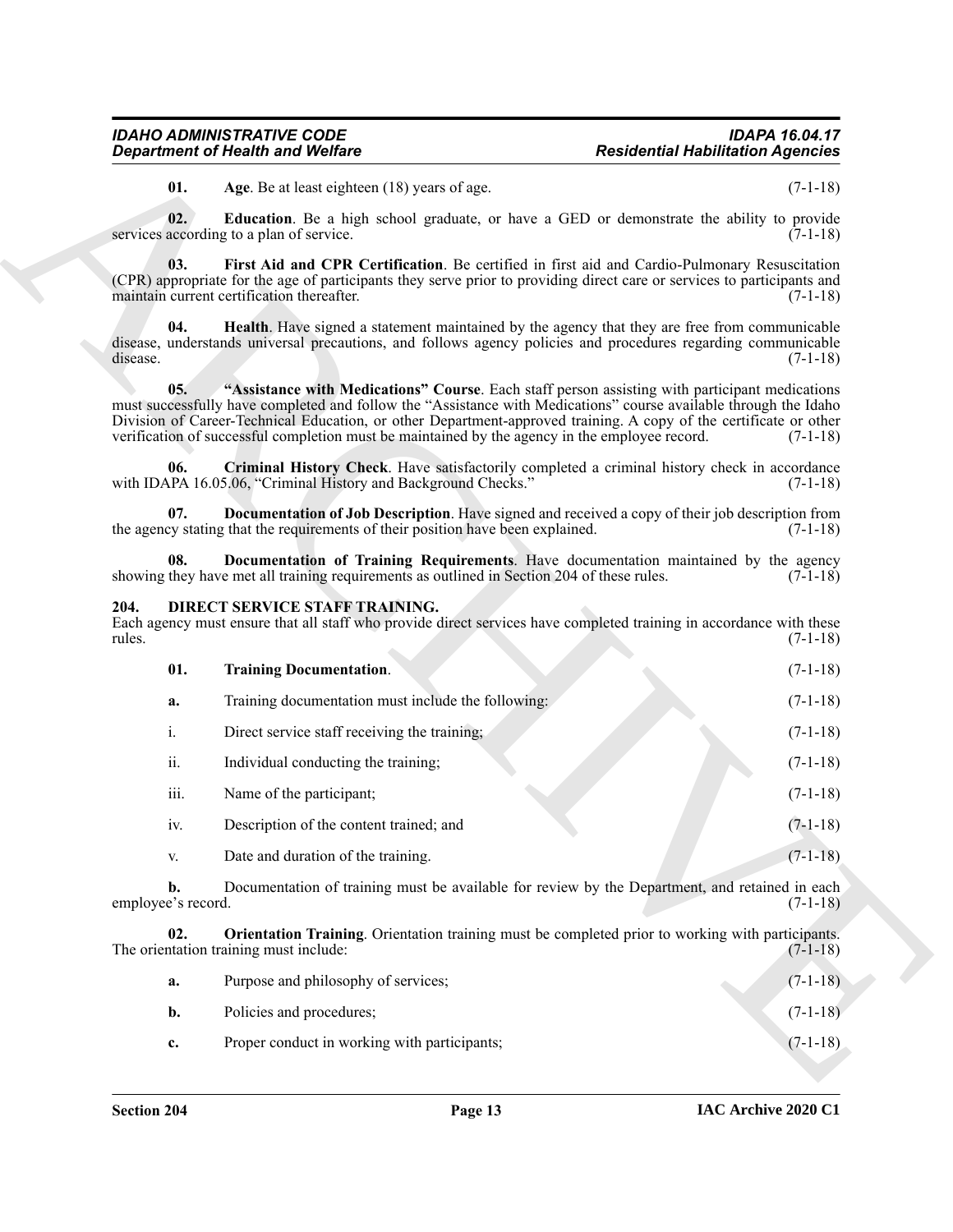#### <span id="page-11-11"></span><span id="page-11-10"></span><span id="page-11-9"></span><span id="page-11-5"></span><span id="page-11-4"></span><span id="page-11-3"></span><span id="page-11-1"></span><span id="page-11-0"></span>**204. DIRECT SERVICE STAFF TRAINING.**

<span id="page-11-8"></span><span id="page-11-7"></span><span id="page-11-6"></span><span id="page-11-2"></span>

| <b>Department of Health and Welfare</b> |                                                                                                                                                                                                                                                                                                                                                                                                                                           | <b>Residential Habilitation Agencies</b> |  |
|-----------------------------------------|-------------------------------------------------------------------------------------------------------------------------------------------------------------------------------------------------------------------------------------------------------------------------------------------------------------------------------------------------------------------------------------------------------------------------------------------|------------------------------------------|--|
| 01.                                     | Age. Be at least eighteen (18) years of age.                                                                                                                                                                                                                                                                                                                                                                                              | $(7-1-18)$                               |  |
| 02.                                     | <b>Education</b> . Be a high school graduate, or have a GED or demonstrate the ability to provide<br>services according to a plan of service.                                                                                                                                                                                                                                                                                             | $(7-1-18)$                               |  |
| 03.                                     | First Aid and CPR Certification. Be certified in first aid and Cardio-Pulmonary Resuscitation<br>(CPR) appropriate for the age of participants they serve prior to providing direct care or services to participants and<br>maintain current certification thereafter.                                                                                                                                                                    | $(7-1-18)$                               |  |
| 04.<br>disease.                         | Health. Have signed a statement maintained by the agency that they are free from communicable<br>disease, understands universal precautions, and follows agency policies and procedures regarding communicable                                                                                                                                                                                                                            | $(7-1-18)$                               |  |
| 05.                                     | "Assistance with Medications" Course. Each staff person assisting with participant medications<br>must successfully have completed and follow the "Assistance with Medications" course available through the Idaho<br>Division of Career-Technical Education, or other Department-approved training. A copy of the certificate or other<br>verification of successful completion must be maintained by the agency in the employee record. | $(7-1-18)$                               |  |
| 06.                                     | Criminal History Check. Have satisfactorily completed a criminal history check in accordance<br>with IDAPA 16.05.06, "Criminal History and Background Checks."                                                                                                                                                                                                                                                                            | $(7-1-18)$                               |  |
| 07.                                     | <b>Documentation of Job Description.</b> Have signed and received a copy of their job description from<br>the agency stating that the requirements of their position have been explained.                                                                                                                                                                                                                                                 | $(7-1-18)$                               |  |
| 08.                                     | Documentation of Training Requirements. Have documentation maintained by the agency<br>showing they have met all training requirements as outlined in Section 204 of these rules.                                                                                                                                                                                                                                                         | $(7-1-18)$                               |  |
| 204.                                    | DIRECT SERVICE STAFF TRAINING.<br>Each agency must ensure that all staff who provide direct services have completed training in accordance with these                                                                                                                                                                                                                                                                                     |                                          |  |
| rules.                                  |                                                                                                                                                                                                                                                                                                                                                                                                                                           |                                          |  |
| 01.                                     | <b>Training Documentation.</b>                                                                                                                                                                                                                                                                                                                                                                                                            | $(7-1-18)$<br>$(7-1-18)$                 |  |
| a.                                      | Training documentation must include the following:                                                                                                                                                                                                                                                                                                                                                                                        |                                          |  |
| i.                                      | Direct service staff receiving the training;                                                                                                                                                                                                                                                                                                                                                                                              |                                          |  |
| ii.                                     | Individual conducting the training;                                                                                                                                                                                                                                                                                                                                                                                                       | $(7-1-18)$<br>$(7-1-18)$<br>$(7-1-18)$   |  |
| iii.                                    | Name of the participant;                                                                                                                                                                                                                                                                                                                                                                                                                  | $(7-1-18)$                               |  |
| 1V.                                     | Description of the content trained; and                                                                                                                                                                                                                                                                                                                                                                                                   | $(7-1-18)$                               |  |
| V.                                      | Date and duration of the training.                                                                                                                                                                                                                                                                                                                                                                                                        | $(7-1-18)$                               |  |
| b.<br>employee's record.                | Documentation of training must be available for review by the Department, and retained in each                                                                                                                                                                                                                                                                                                                                            | $(7-1-18)$                               |  |
| 02.                                     | <b>Orientation Training.</b> Orientation training must be completed prior to working with participants.<br>The orientation training must include:                                                                                                                                                                                                                                                                                         | $(7-1-18)$                               |  |
| a.                                      | Purpose and philosophy of services;                                                                                                                                                                                                                                                                                                                                                                                                       | $(7-1-18)$                               |  |
| b.                                      | Policies and procedures;                                                                                                                                                                                                                                                                                                                                                                                                                  | $(7-1-18)$                               |  |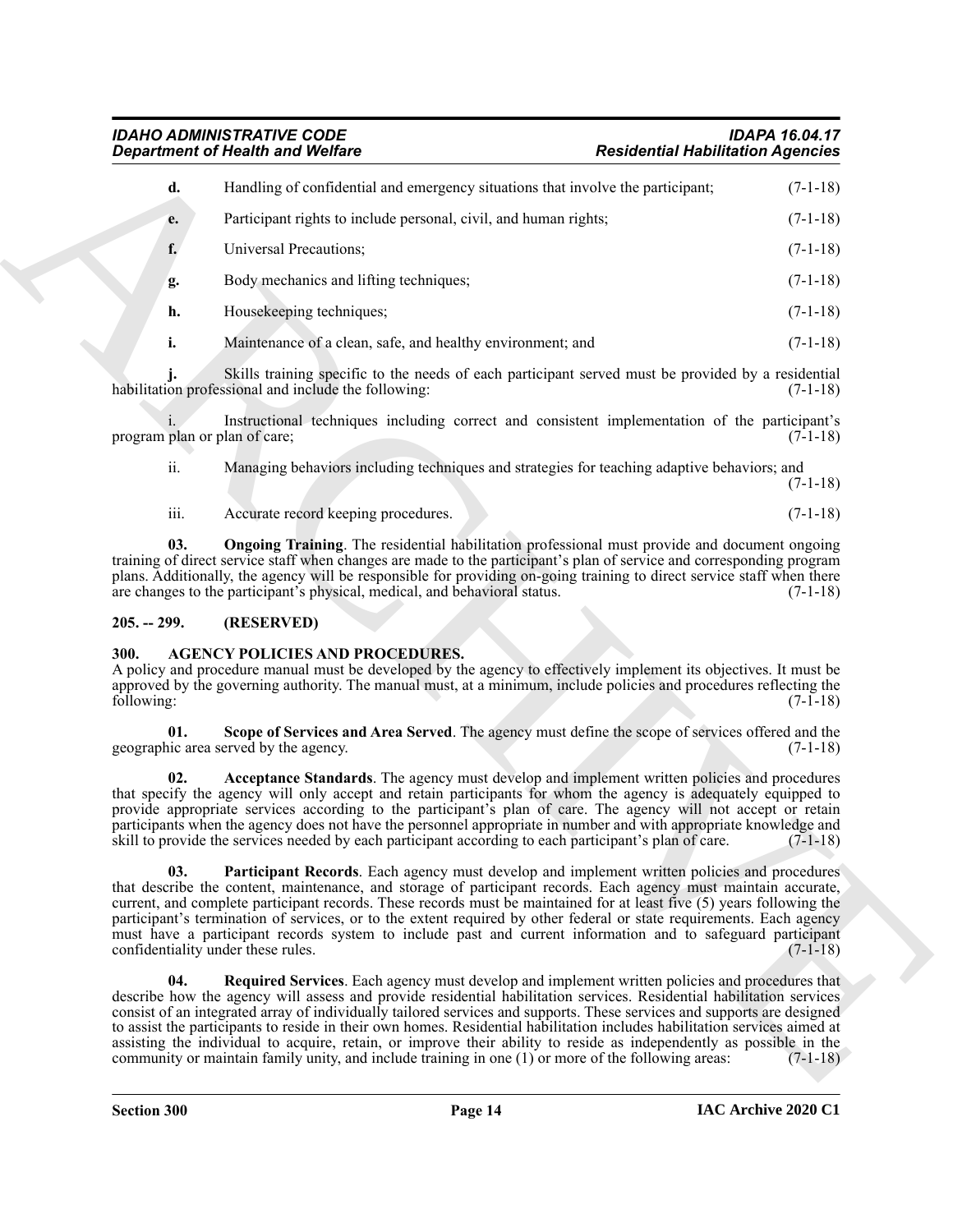|                               | <b>Department of Health and Welfare</b>                                                                                                                                                                                                                                                                                                                                                                                                                                                                                                                                                                              | <b>Residential Habilitation Agencies</b>                                                                                |
|-------------------------------|----------------------------------------------------------------------------------------------------------------------------------------------------------------------------------------------------------------------------------------------------------------------------------------------------------------------------------------------------------------------------------------------------------------------------------------------------------------------------------------------------------------------------------------------------------------------------------------------------------------------|-------------------------------------------------------------------------------------------------------------------------|
| d.                            | Handling of confidential and emergency situations that involve the participant;                                                                                                                                                                                                                                                                                                                                                                                                                                                                                                                                      | $(7-1-18)$                                                                                                              |
| e.                            | Participant rights to include personal, civil, and human rights;                                                                                                                                                                                                                                                                                                                                                                                                                                                                                                                                                     | $(7-1-18)$                                                                                                              |
| f.                            | Universal Precautions;                                                                                                                                                                                                                                                                                                                                                                                                                                                                                                                                                                                               | $(7-1-18)$                                                                                                              |
| g.                            | Body mechanics and lifting techniques;                                                                                                                                                                                                                                                                                                                                                                                                                                                                                                                                                                               | $(7-1-18)$                                                                                                              |
| h.                            | Housekeeping techniques;                                                                                                                                                                                                                                                                                                                                                                                                                                                                                                                                                                                             | $(7-1-18)$                                                                                                              |
| i.                            | Maintenance of a clean, safe, and healthy environment; and                                                                                                                                                                                                                                                                                                                                                                                                                                                                                                                                                           | $(7-1-18)$                                                                                                              |
|                               | Skills training specific to the needs of each participant served must be provided by a residential<br>habilitation professional and include the following:                                                                                                                                                                                                                                                                                                                                                                                                                                                           | $(7-1-18)$                                                                                                              |
| program plan or plan of care; | Instructional techniques including correct and consistent implementation of the participant's                                                                                                                                                                                                                                                                                                                                                                                                                                                                                                                        | $(7-1-18)$                                                                                                              |
| ii.                           | Managing behaviors including techniques and strategies for teaching adaptive behaviors; and                                                                                                                                                                                                                                                                                                                                                                                                                                                                                                                          | $(7-1-18)$                                                                                                              |
| iii.                          | Accurate record keeping procedures.                                                                                                                                                                                                                                                                                                                                                                                                                                                                                                                                                                                  | $(7-1-18)$                                                                                                              |
| 03.                           | <b>Ongoing Training</b> . The residential habilitation professional must provide and document ongoing<br>training of direct service staff when changes are made to the participant's plan of service and corresponding program<br>plans. Additionally, the agency will be responsible for providing on-going training to direct service staff when there<br>are changes to the participant's physical, medical, and behavioral status.                                                                                                                                                                               | $(7-1-18)$                                                                                                              |
| $205. - 299.$                 | (RESERVED)                                                                                                                                                                                                                                                                                                                                                                                                                                                                                                                                                                                                           |                                                                                                                         |
| 300.<br>following:            | <b>AGENCY POLICIES AND PROCEDURES.</b><br>A policy and procedure manual must be developed by the agency to effectively implement its objectives. It must be<br>approved by the governing authority. The manual must, at a minimum, include policies and procedures reflecting the                                                                                                                                                                                                                                                                                                                                    | $(7-1-18)$                                                                                                              |
| 01.                           | Scope of Services and Area Served. The agency must define the scope of services offered and the<br>geographic area served by the agency.                                                                                                                                                                                                                                                                                                                                                                                                                                                                             | $(7-1-18)$                                                                                                              |
| 02.                           | Acceptance Standards. The agency must develop and implement written policies and procedures<br>that specify the agency will only accept and retain participants for whom the agency is adequately equipped to<br>provide appropriate services according to the participant's plan of care. The agency will not accept or retain<br>participants when the agency does not have the personnel appropriate in number and with appropriate knowledge and<br>skill to provide the services needed by each participant according to each participant's plan of care.                                                       | $(7-1-18)$                                                                                                              |
| 03.                           | Participant Records. Each agency must develop and implement written policies and procedures<br>that describe the content, maintenance, and storage of participant records. Each agency must maintain accurate,<br>current, and complete participant records. These records must be maintained for at least five (5) years following the<br>participant's termination of services, or to the extent required by other federal or state requirements. Each agency<br>must have a participant records system to include past and current information and to safeguard participant<br>confidentiality under these rules. | $(7-1-18)$                                                                                                              |
| 04.                           | <b>Required Services.</b> Each agency must develop and implement written policies and procedures that<br>describe how the agency will assess and provide residential habilitation services. Residential habilitation services                                                                                                                                                                                                                                                                                                                                                                                        | consist of an integrated array of individually tailored services and supports. These services and supports are designed |

#### <span id="page-12-7"></span><span id="page-12-0"></span>**205. -- 299. (RESERVED)**

#### <span id="page-12-6"></span><span id="page-12-5"></span><span id="page-12-4"></span><span id="page-12-3"></span><span id="page-12-2"></span><span id="page-12-1"></span>**300. AGENCY POLICIES AND PROCEDURES.**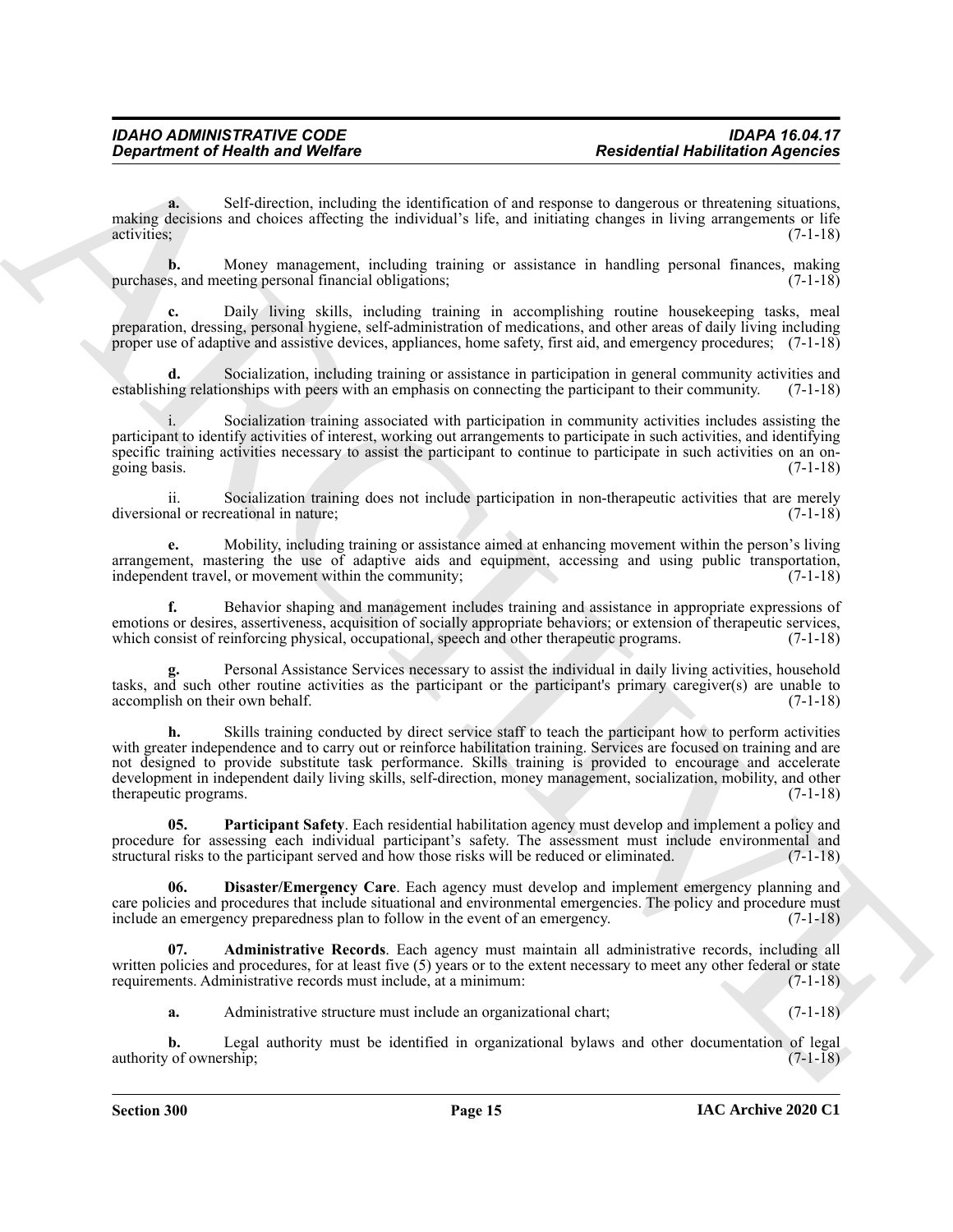**a.** Self-direction, including the identification of and response to dangerous or threatening situations, making decisions and choices affecting the individual's life, and initiating changes in living arrangements or life activities; (7-1-18)

**b.** Money management, including training or assistance in handling personal finances, making is, and meeting personal financial obligations; purchases, and meeting personal financial obligations;

**c.** Daily living skills, including training in accomplishing routine housekeeping tasks, meal preparation, dressing, personal hygiene, self-administration of medications, and other areas of daily living including proper use of adaptive and assistive devices, appliances, home safety, first aid, and emergency procedures; (7-1-18)

**d.** Socialization, including training or assistance in participation in general community activities and ing relationships with peers with an emphasis on connecting the participant to their community. (7-1-18) establishing relationships with peers with an emphasis on connecting the participant to their community.

Socialization training associated with participation in community activities includes assisting the participant to identify activities of interest, working out arrangements to participate in such activities, and identifying specific training activities necessary to assist the participant to continue to participate in such activities on an ongoing basis. (7-1-18)

ii. Socialization training does not include participation in non-therapeutic activities that are merely diversional or recreational in nature;

**e.** Mobility, including training or assistance aimed at enhancing movement within the person's living arrangement, mastering the use of adaptive aids and equipment, accessing and using public transportation, independent travel, or movement within the community;  $(7-1-18)$ 

**f.** Behavior shaping and management includes training and assistance in appropriate expressions of emotions or desires, assertiveness, acquisition of socially appropriate behaviors; or extension of therapeutic services, which consist of reinforcing physical, occupational, speech and other therapeutic programs. (7-1-18) which consist of reinforcing physical, occupational, speech and other therapeutic programs.

**g.** Personal Assistance Services necessary to assist the individual in daily living activities, household tasks, and such other routine activities as the participant or the participant's primary caregiver(s) are unable to accomplish on their own behalf. (7-1-18)

Government of Newthern Society and Wolfare<br>
States and the content of the distribution of each content of the distribution of the content of the distribution of the content of the content of the content of the content of **h.** Skills training conducted by direct service staff to teach the participant how to perform activities with greater independence and to carry out or reinforce habilitation training. Services are focused on training and are not designed to provide substitute task performance. Skills training is provided to encourage and accelerate development in independent daily living skills, self-direction, money management, socialization, mobility, and other therapeutic programs. (7-1-18) therapeutic programs.

<span id="page-13-2"></span>**05. Participant Safety**. Each residential habilitation agency must develop and implement a policy and procedure for assessing each individual participant's safety. The assessment must include environmental and structural risks to the participant served and how those risks will be reduced or eliminated. (7-1-18)

<span id="page-13-1"></span>**06. Disaster/Emergency Care**. Each agency must develop and implement emergency planning and care policies and procedures that include situational and environmental emergencies. The policy and procedure must include an emergency preparedness plan to follow in the event of an emergency. (7-1-18)

**07. Administrative Records**. Each agency must maintain all administrative records, including all written policies and procedures, for at least five (5) years or to the extent necessary to meet any other federal or state requirements. Administrative records must include, at a minimum: (7-1-18)

<span id="page-13-0"></span>**a.** Administrative structure must include an organizational chart; (7-1-18)

**b.** Legal authority must be identified in organizational bylaws and other documentation of legal of ownership; (7-1-18) authority of ownership;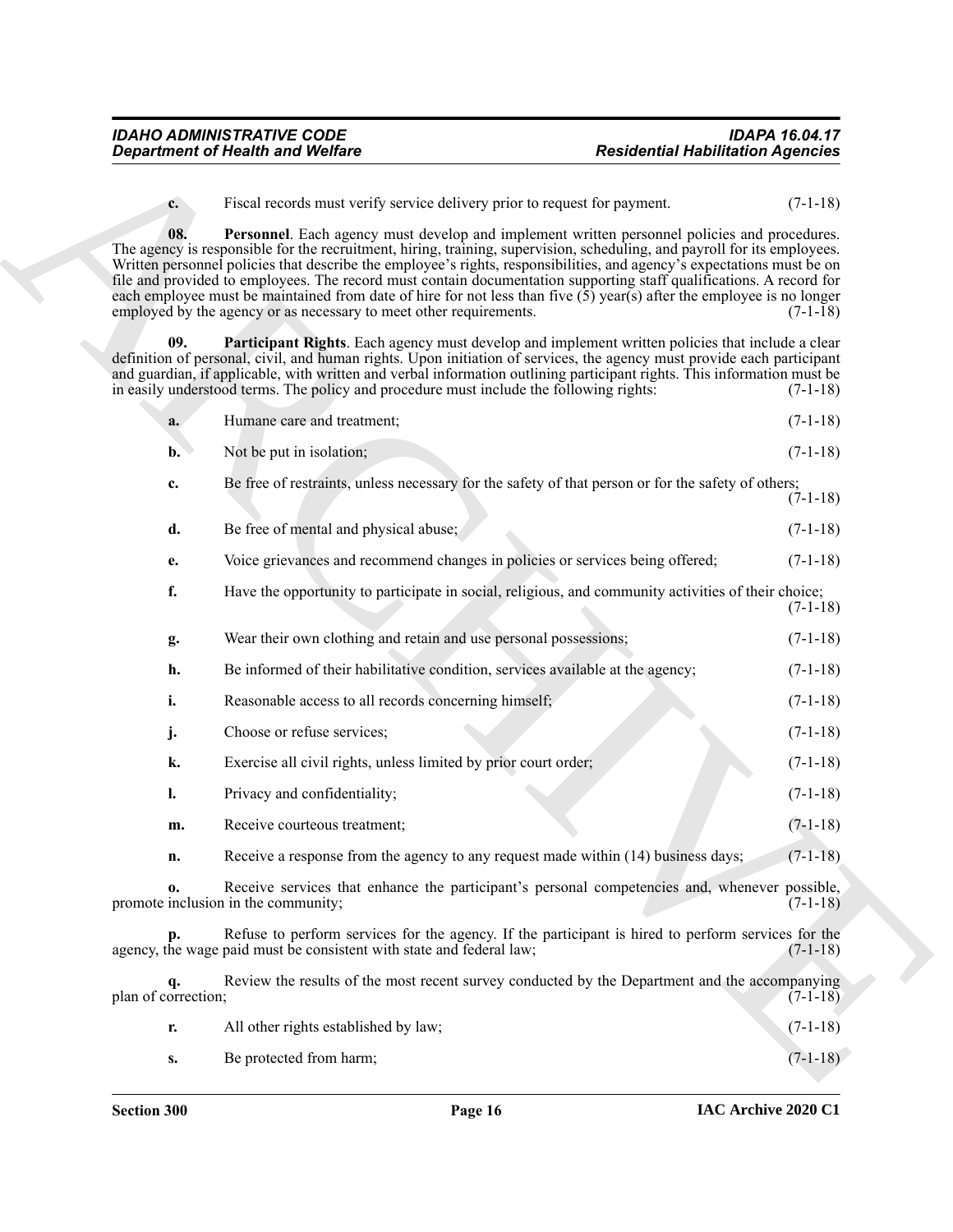<span id="page-14-1"></span><span id="page-14-0"></span>

|                     | <b>Department of Health and Welfare</b>                                                                                                                                                                                                                                                                                                                                                                                                                                                                                                                                                                                                                                    | <b>Residential Habilitation Agencies</b> |            |
|---------------------|----------------------------------------------------------------------------------------------------------------------------------------------------------------------------------------------------------------------------------------------------------------------------------------------------------------------------------------------------------------------------------------------------------------------------------------------------------------------------------------------------------------------------------------------------------------------------------------------------------------------------------------------------------------------------|------------------------------------------|------------|
| $c_{\cdot}$         | Fiscal records must verify service delivery prior to request for payment.                                                                                                                                                                                                                                                                                                                                                                                                                                                                                                                                                                                                  |                                          | $(7-1-18)$ |
| 08.                 | Personnel. Each agency must develop and implement written personnel policies and procedures.<br>The agency is responsible for the recruitment, hiring, training, supervision, scheduling, and payroll for its employees.<br>Written personnel policies that describe the employee's rights, responsibilities, and agency's expectations must be on<br>file and provided to employees. The record must contain documentation supporting staff qualifications. A record for<br>each employee must be maintained from date of hire for not less than five $(5)$ year(s) after the employee is no longer<br>employed by the agency or as necessary to meet other requirements. |                                          | $(7-1-18)$ |
| 09.                 | Participant Rights. Each agency must develop and implement written policies that include a clear<br>definition of personal, civil, and human rights. Upon initiation of services, the agency must provide each participant<br>and guardian, if applicable, with written and verbal information outlining participant rights. This information must be<br>in easily understood terms. The policy and procedure must include the following rights:                                                                                                                                                                                                                           |                                          | $(7-1-18)$ |
| a.                  | Humane care and treatment;                                                                                                                                                                                                                                                                                                                                                                                                                                                                                                                                                                                                                                                 |                                          | $(7-1-18)$ |
| $\mathbf{b}$ .      | Not be put in isolation;                                                                                                                                                                                                                                                                                                                                                                                                                                                                                                                                                                                                                                                   |                                          | $(7-1-18)$ |
| c.                  | Be free of restraints, unless necessary for the safety of that person or for the safety of others;                                                                                                                                                                                                                                                                                                                                                                                                                                                                                                                                                                         |                                          | $(7-1-18)$ |
| d.                  | Be free of mental and physical abuse;                                                                                                                                                                                                                                                                                                                                                                                                                                                                                                                                                                                                                                      |                                          | $(7-1-18)$ |
| e.                  | Voice grievances and recommend changes in policies or services being offered;                                                                                                                                                                                                                                                                                                                                                                                                                                                                                                                                                                                              |                                          | $(7-1-18)$ |
| f.                  | Have the opportunity to participate in social, religious, and community activities of their choice;                                                                                                                                                                                                                                                                                                                                                                                                                                                                                                                                                                        |                                          | $(7-1-18)$ |
| g.                  | Wear their own clothing and retain and use personal possessions;                                                                                                                                                                                                                                                                                                                                                                                                                                                                                                                                                                                                           |                                          | $(7-1-18)$ |
| h.                  | Be informed of their habilitative condition, services available at the agency;                                                                                                                                                                                                                                                                                                                                                                                                                                                                                                                                                                                             |                                          | $(7-1-18)$ |
| i.                  | Reasonable access to all records concerning himself;                                                                                                                                                                                                                                                                                                                                                                                                                                                                                                                                                                                                                       |                                          | $(7-1-18)$ |
| j.                  | Choose or refuse services;                                                                                                                                                                                                                                                                                                                                                                                                                                                                                                                                                                                                                                                 |                                          | $(7-1-18)$ |
| k.                  | Exercise all civil rights, unless limited by prior court order;                                                                                                                                                                                                                                                                                                                                                                                                                                                                                                                                                                                                            |                                          | $(7-1-18)$ |
| 1.                  | Privacy and confidentiality;                                                                                                                                                                                                                                                                                                                                                                                                                                                                                                                                                                                                                                               |                                          | $(7-1-18)$ |
| m.                  | Receive courteous treatment;                                                                                                                                                                                                                                                                                                                                                                                                                                                                                                                                                                                                                                               |                                          | $(7-1-18)$ |
| n.                  | Receive a response from the agency to any request made within (14) business days;                                                                                                                                                                                                                                                                                                                                                                                                                                                                                                                                                                                          |                                          | $(7-1-18)$ |
| 0.                  | Receive services that enhance the participant's personal competencies and, whenever possible,<br>promote inclusion in the community;                                                                                                                                                                                                                                                                                                                                                                                                                                                                                                                                       |                                          | $(7-1-18)$ |
|                     | Refuse to perform services for the agency. If the participant is hired to perform services for the<br>agency, the wage paid must be consistent with state and federal law;                                                                                                                                                                                                                                                                                                                                                                                                                                                                                                 |                                          | $(7-1-18)$ |
| plan of correction; | Review the results of the most recent survey conducted by the Department and the accompanying                                                                                                                                                                                                                                                                                                                                                                                                                                                                                                                                                                              |                                          | $(7-1-18)$ |
| r.                  | All other rights established by law;                                                                                                                                                                                                                                                                                                                                                                                                                                                                                                                                                                                                                                       |                                          | $(7-1-18)$ |
|                     | Be protected from harm;                                                                                                                                                                                                                                                                                                                                                                                                                                                                                                                                                                                                                                                    |                                          | $(7-1-18)$ |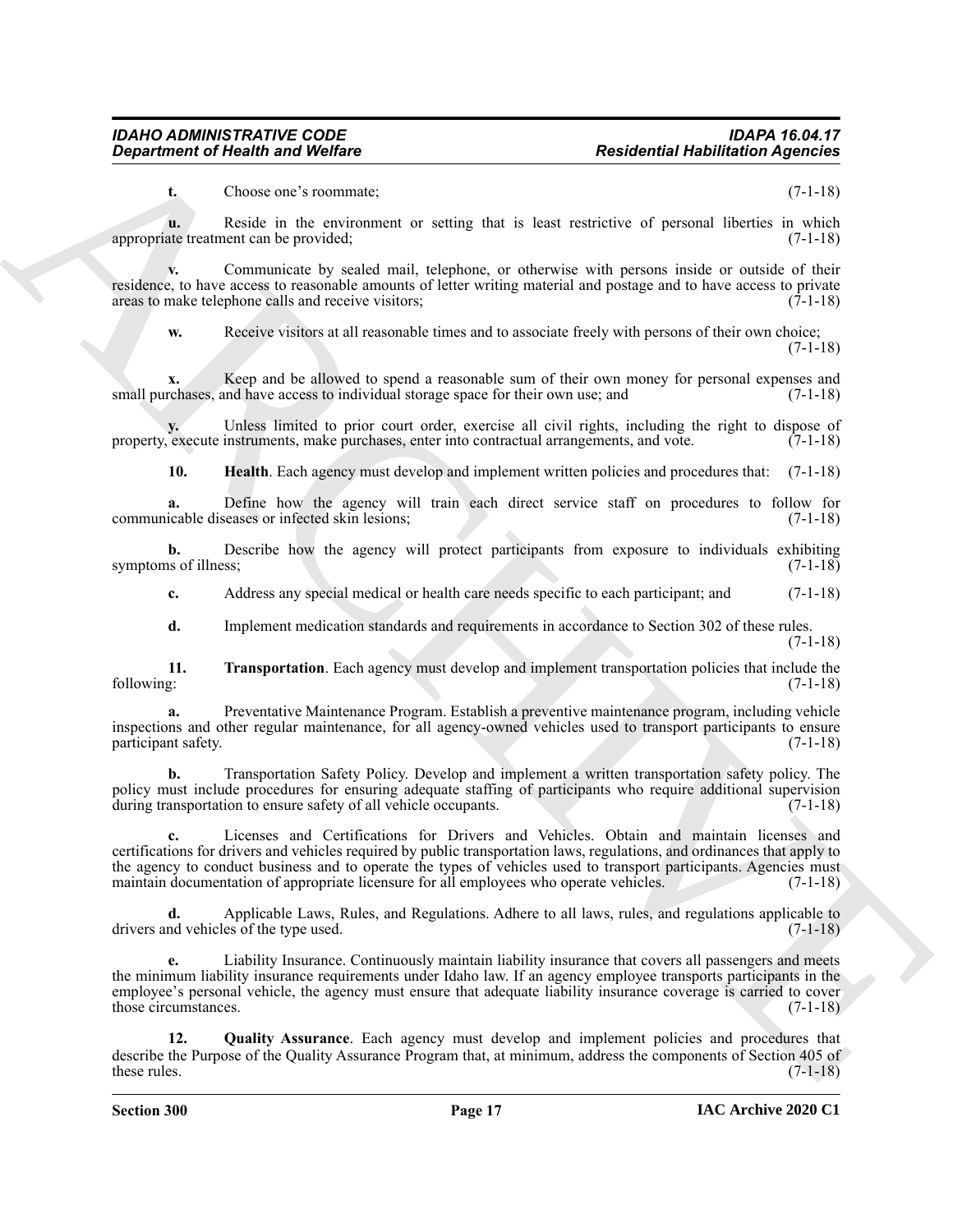**t.** Choose one's roommate; (7-1-18)

**u.** Reside in the environment or setting that is least restrictive of personal liberties in which ate treatment can be provided; (7-1-18) appropriate treatment can be provided;

**v.** Communicate by sealed mail, telephone, or otherwise with persons inside or outside of their residence, to have access to reasonable amounts of letter writing material and postage and to have access to private areas to make telephone calls and receive visitors; (7-1-18) areas to make telephone calls and receive visitors;

**w.** Receive visitors at all reasonable times and to associate freely with persons of their own choice; (7-1-18)

**x.** Keep and be allowed to spend a reasonable sum of their own money for personal expenses and rehases, and have access to individual storage space for their own use; and  $(7-1-18)$ small purchases, and have access to individual storage space for their own use; and

**y.** Unless limited to prior court order, exercise all civil rights, including the right to dispose of execute instruments, make purchases, enter into contractual arrangements, and vote. (7-1-18) property, execute instruments, make purchases, enter into contractual arrangements, and vote.

<span id="page-15-0"></span>**10. Health**. Each agency must develop and implement written policies and procedures that: (7-1-18)

**a.** Define how the agency will train each direct service staff on procedures to follow for icable diseases or infected skin lesions; (7-1-18) communicable diseases or infected skin lesions;

**b.** Describe how the agency will protect participants from exposure to individuals exhibiting symptoms of illness; (7-1-18)

**c.** Address any special medical or health care needs specific to each participant; and  $(7-1-18)$ 

<span id="page-15-2"></span>**d.** Implement medication standards and requirements in accordance to Section 302 of these rules.  $(7-1-18)$ 

**11. 11. Transportation**. Each agency must develop and implement transportation policies that include the following: (7-1-18) following: (7-1-18)

**a.** Preventative Maintenance Program. Establish a preventive maintenance program, including vehicle inspections and other regular maintenance, for all agency-owned vehicles used to transport participants to ensure participant safety. (7-1-18)

**b.** Transportation Safety Policy. Develop and implement a written transportation safety policy. The policy must include procedures for ensuring adequate staffing of participants who require additional supervision during transportation to ensure safety of all vehicle occupants. (7-1-18)

**Department of Neath was Wedler<br>
Conserver transmission registeres that restrictes the principal methods of the extreme of the state<br>
Conserver transmission registeres that is not registeres that is not registeres that is c.** Licenses and Certifications for Drivers and Vehicles. Obtain and maintain licenses and certifications for drivers and vehicles required by public transportation laws, regulations, and ordinances that apply to the agency to conduct business and to operate the types of vehicles used to transport participants. Agencies must maintain documentation of appropriate licensure for all employees who operate vehicles. (7-1-18)

**d.** Applicable Laws, Rules, and Regulations. Adhere to all laws, rules, and regulations applicable to drivers and vehicles of the type used. (7-1-18)

**e.** Liability Insurance. Continuously maintain liability insurance that covers all passengers and meets the minimum liability insurance requirements under Idaho law. If an agency employee transports participants in the employee's personal vehicle, the agency must ensure that adequate liability insurance coverage is carried to cover those circumstances. (7-1-18)

<span id="page-15-1"></span>**12. Quality Assurance**. Each agency must develop and implement policies and procedures that describe the Purpose of the Quality Assurance Program that, at minimum, address the components of Section 405 of these rules.  $(7-1-18)$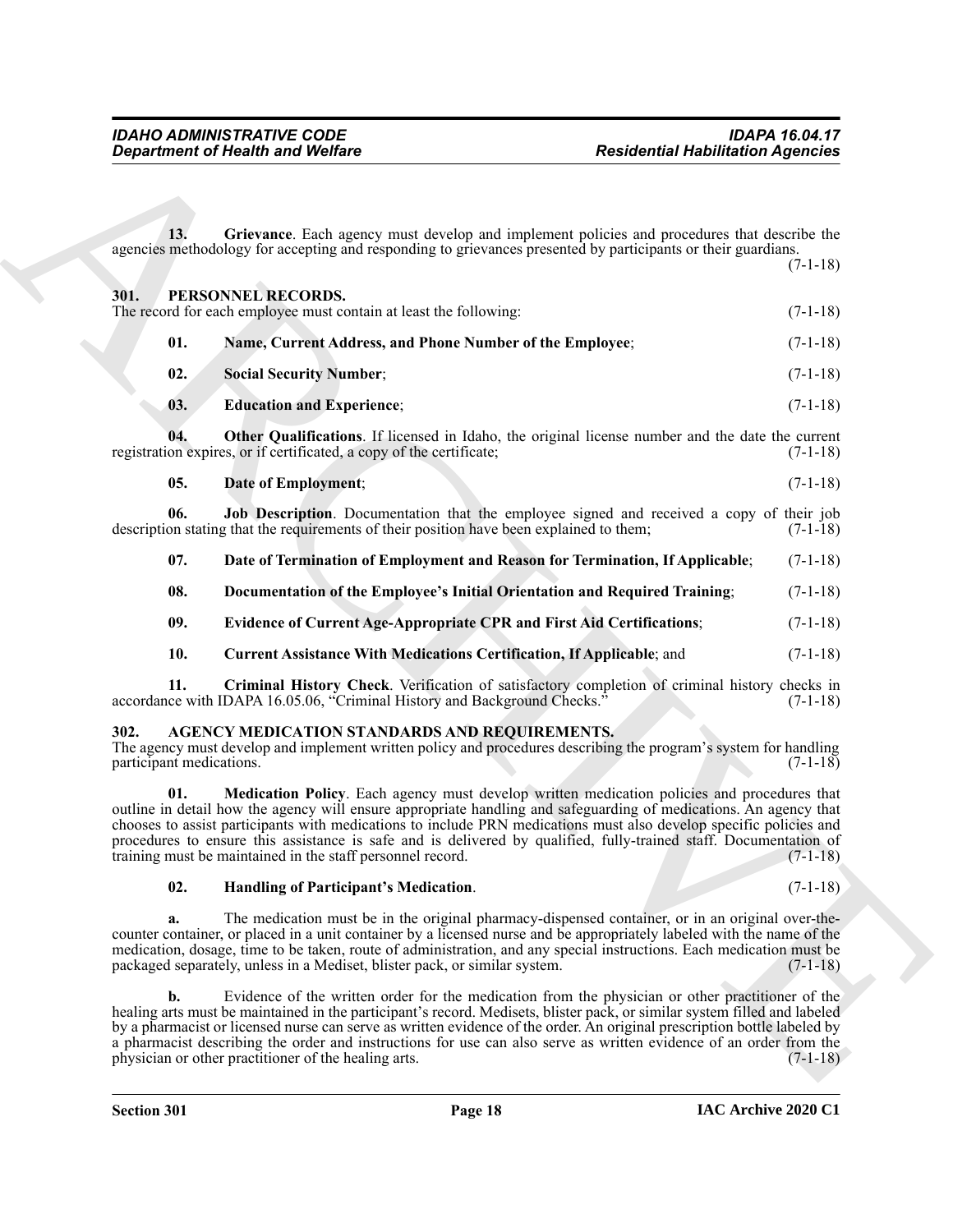<span id="page-16-17"></span><span id="page-16-15"></span><span id="page-16-12"></span><span id="page-16-6"></span><span id="page-16-5"></span><span id="page-16-0"></span>

|                                  | <b>Department of Health and Welfare</b>                                                                                                                                                                                                                                                                                                                                                                                                                                                                                                 | <b>Residential Habilitation Agencies</b> |
|----------------------------------|-----------------------------------------------------------------------------------------------------------------------------------------------------------------------------------------------------------------------------------------------------------------------------------------------------------------------------------------------------------------------------------------------------------------------------------------------------------------------------------------------------------------------------------------|------------------------------------------|
|                                  |                                                                                                                                                                                                                                                                                                                                                                                                                                                                                                                                         |                                          |
| 13.                              | Grievance. Each agency must develop and implement policies and procedures that describe the<br>agencies methodology for accepting and responding to grievances presented by participants or their guardians.                                                                                                                                                                                                                                                                                                                            | $(7-1-18)$                               |
| 301.                             | PERSONNEL RECORDS.<br>The record for each employee must contain at least the following:                                                                                                                                                                                                                                                                                                                                                                                                                                                 | $(7-1-18)$                               |
| 01.                              | Name, Current Address, and Phone Number of the Employee;                                                                                                                                                                                                                                                                                                                                                                                                                                                                                | $(7-1-18)$                               |
| 02.                              | <b>Social Security Number;</b>                                                                                                                                                                                                                                                                                                                                                                                                                                                                                                          | $(7-1-18)$                               |
| 03.                              | <b>Education and Experience;</b>                                                                                                                                                                                                                                                                                                                                                                                                                                                                                                        | $(7-1-18)$                               |
| 04.                              | Other Qualifications. If licensed in Idaho, the original license number and the date the current<br>registration expires, or if certificated, a copy of the certificate;                                                                                                                                                                                                                                                                                                                                                                | $(7-1-18)$                               |
| 05.                              | Date of Employment;                                                                                                                                                                                                                                                                                                                                                                                                                                                                                                                     | $(7-1-18)$                               |
| 06.                              | Job Description. Documentation that the employee signed and received a copy of their job<br>description stating that the requirements of their position have been explained to them;                                                                                                                                                                                                                                                                                                                                                    | $(7-1-18)$                               |
| 07.                              | Date of Termination of Employment and Reason for Termination, If Applicable;                                                                                                                                                                                                                                                                                                                                                                                                                                                            | $(7-1-18)$                               |
| 08.                              | Documentation of the Employee's Initial Orientation and Required Training;                                                                                                                                                                                                                                                                                                                                                                                                                                                              | $(7-1-18)$                               |
| 09.                              | <b>Evidence of Current Age-Appropriate CPR and First Aid Certifications;</b>                                                                                                                                                                                                                                                                                                                                                                                                                                                            | $(7-1-18)$                               |
| 10.                              | <b>Current Assistance With Medications Certification, If Applicable; and</b>                                                                                                                                                                                                                                                                                                                                                                                                                                                            | $(7-1-18)$                               |
| 11.                              | Criminal History Check. Verification of satisfactory completion of criminal history checks in<br>accordance with IDAPA 16.05.06, "Criminal History and Background Checks."                                                                                                                                                                                                                                                                                                                                                              | $(7-1-18)$                               |
| 302.<br>participant medications. | AGENCY MEDICATION STANDARDS AND REQUIREMENTS.<br>The agency must develop and implement written policy and procedures describing the program's system for handling                                                                                                                                                                                                                                                                                                                                                                       | $(7-1-18)$                               |
| 01.                              | Medication Policy. Each agency must develop written medication policies and procedures that<br>outline in detail how the agency will ensure appropriate handling and safeguarding of medications. An agency that<br>chooses to assist participants with medications to include PRN medications must also develop specific policies and<br>procedures to ensure this assistance is safe and is delivered by qualified, fully-trained staff. Documentation of<br>training must be maintained in the staff personnel record.               | $(7-1-18)$                               |
| 02.                              | Handling of Participant's Medication.                                                                                                                                                                                                                                                                                                                                                                                                                                                                                                   | $(7-1-18)$                               |
| a.                               | The medication must be in the original pharmacy-dispensed container, or in an original over-the-<br>counter container, or placed in a unit container by a licensed nurse and be appropriately labeled with the name of the<br>medication, dosage, time to be taken, route of administration, and any special instructions. Each medication must be<br>packaged separately, unless in a Mediset, blister pack, or similar system.                                                                                                        | $(7-1-18)$                               |
| $\mathbf{b}$ .                   | Evidence of the written order for the medication from the physician or other practitioner of the<br>healing arts must be maintained in the participant's record. Medisets, blister pack, or similar system filled and labeled<br>by a pharmacist or licensed nurse can serve as written evidence of the order. An original prescription bottle labeled by<br>a pharmacist describing the order and instructions for use can also serve as written evidence of an order from the<br>physician or other practitioner of the healing arts. | $(7-1-18)$                               |

#### <span id="page-16-16"></span><span id="page-16-14"></span><span id="page-16-13"></span><span id="page-16-11"></span><span id="page-16-10"></span><span id="page-16-9"></span><span id="page-16-8"></span><span id="page-16-7"></span><span id="page-16-4"></span><span id="page-16-2"></span><span id="page-16-1"></span>**302. AGENCY MEDICATION STANDARDS AND REQUIREMENTS.**

#### <span id="page-16-3"></span>**02. Handling of Participant's Medication**. (7-1-18)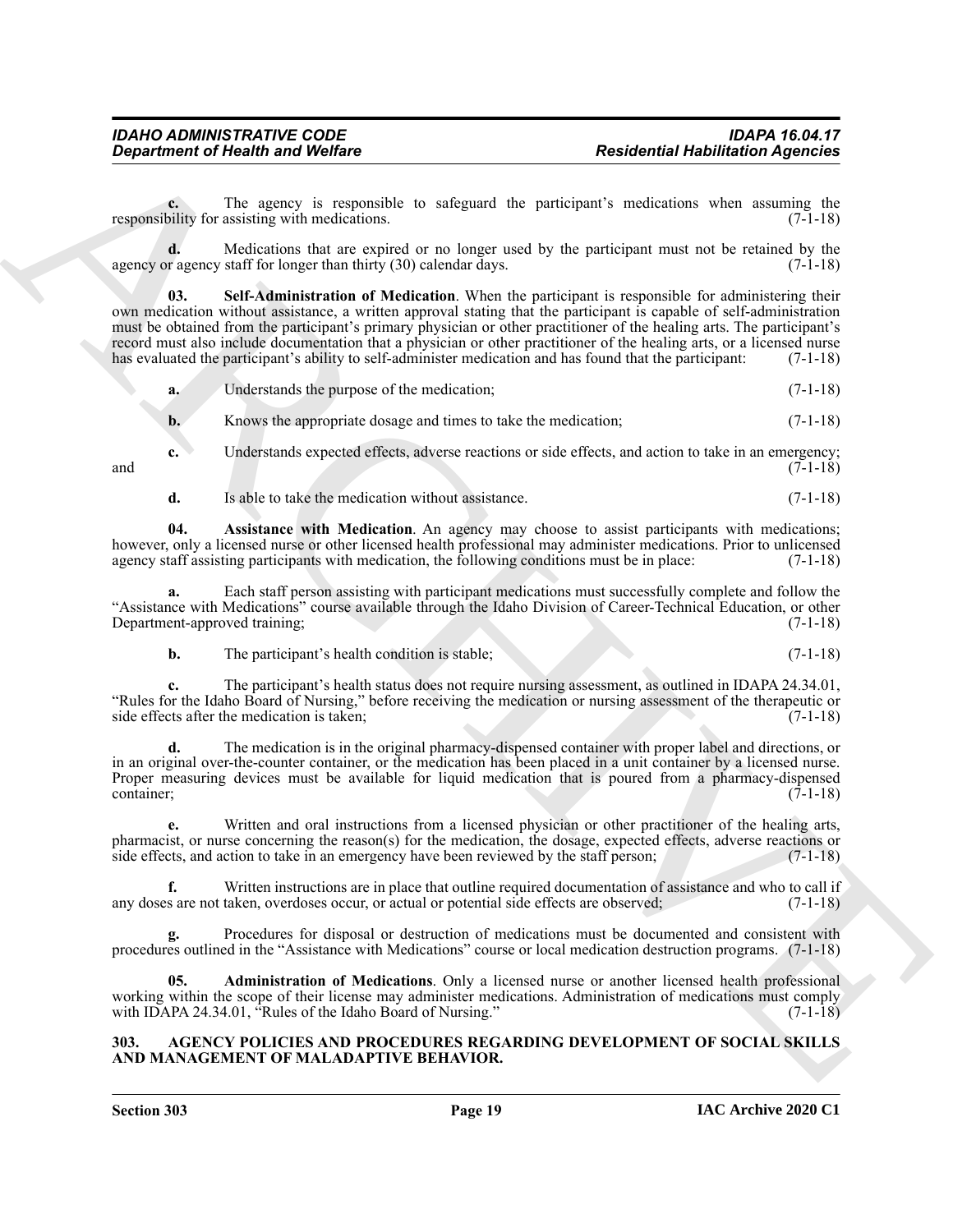**c.** The agency is responsible to safeguard the participant's medications when assuming the participant for assisting with medications. (7-1-18) responsibility for assisting with medications.

<span id="page-17-3"></span>**d.** Medications that are expired or no longer used by the participant must not be retained by the agency or agency staff for longer than thirty  $(30)$  calendar days.  $(7-1-18)$ 

**Expansion of Newton WebEns**<br> **Expansion of Newton WebEns**<br> **Expansion of Newton State Controller International Resolution** when the same section of the same section<br> **Expansion of the same section of the same section of 03. Self-Administration of Medication**. When the participant is responsible for administering their own medication without assistance, a written approval stating that the participant is capable of self-administration must be obtained from the participant's primary physician or other practitioner of the healing arts. The participant's record must also include documentation that a physician or other practitioner of the healing arts, or a licensed nurse has evaluated the participant's ability to self-administer medication and has found that the participant: (7-1-18)

|  | Understands the purpose of the medication; | $(7-1-18)$ |
|--|--------------------------------------------|------------|
|  |                                            |            |

**b.** Knows the appropriate dosage and times to take the medication;  $(7-1-18)$ 

**c.** Understands expected effects, adverse reactions or side effects, and action to take in an emergency; and  $(7-1-18)$ 

<span id="page-17-2"></span>**d.** Is able to take the medication without assistance. (7-1-18)

**04. Assistance with Medication**. An agency may choose to assist participants with medications; however, only a licensed nurse or other licensed health professional may administer medications. Prior to unlicensed agency staff assisting participants with medication, the following conditions must be in place: (7-1-18)

**a.** Each staff person assisting with participant medications must successfully complete and follow the "Assistance with Medications" course available through the Idaho Division of Career-Technical Education, or other Department-approved training; (7-1-18)

| b. | The participant's health condition is stable: |  |  |
|----|-----------------------------------------------|--|--|
|----|-----------------------------------------------|--|--|

**c.** The participant's health status does not require nursing assessment, as outlined in IDAPA 24.34.01, "Rules for the Idaho Board of Nursing," before receiving the medication or nursing assessment of the therapeutic or side effects after the medication is taken;

**d.** The medication is in the original pharmacy-dispensed container with proper label and directions, or in an original over-the-counter container, or the medication has been placed in a unit container by a licensed nurse. Proper measuring devices must be available for liquid medication that is poured from a pharmacy-dispensed container; (7-1-18) container; (7-1-18)

**e.** Written and oral instructions from a licensed physician or other practitioner of the healing arts, pharmacist, or nurse concerning the reason(s) for the medication, the dosage, expected effects, adverse reactions or side effects, and action to take in an emergency have been reviewed by the staff person; (7-1-18)

**f.** Written instructions are in place that outline required documentation of assistance and who to call if s are not taken, overdoses occur, or actual or potential side effects are observed; (7-1-18) any doses are not taken, overdoses occur, or actual or potential side effects are observed;

**g.** Procedures for disposal or destruction of medications must be documented and consistent with procedures outlined in the "Assistance with Medications" course or local medication destruction programs. (7-1-18)

<span id="page-17-1"></span>**05. Administration of Medications**. Only a licensed nurse or another licensed health professional working within the scope of their license may administer medications. Administration of medications must comply with IDAPA 24.34.01, "Rules of the Idaho Board of Nursing." (7-1-18)

#### <span id="page-17-4"></span><span id="page-17-0"></span>**303. AGENCY POLICIES AND PROCEDURES REGARDING DEVELOPMENT OF SOCIAL SKILLS AND MANAGEMENT OF MALADAPTIVE BEHAVIOR.**

**Section 303 Page 19**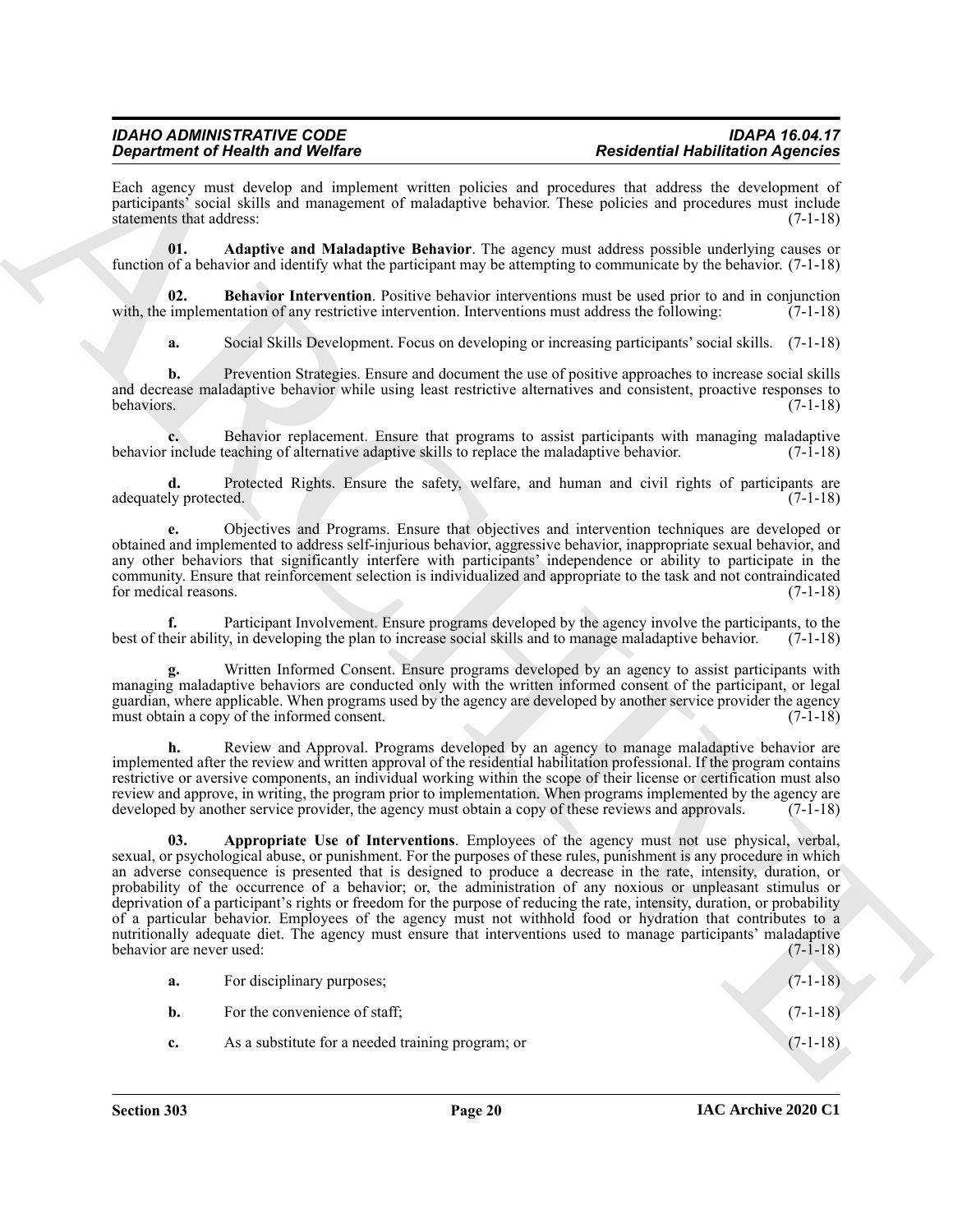Each agency must develop and implement written policies and procedures that address the development of participants' social skills and management of maladaptive behavior. These policies and procedures must include statements that address: (7-1-18)

<span id="page-18-0"></span>**01. Adaptive and Maladaptive Behavior**. The agency must address possible underlying causes or function of a behavior and identify what the participant may be attempting to communicate by the behavior. (7-1-18)

**02. Behavior Intervention**. Positive behavior interventions must be used prior to and in conjunction with, the implementation of any restrictive intervention. Interventions must address the following: (7-1-18)

<span id="page-18-2"></span>**a.** Social Skills Development. Focus on developing or increasing participants' social skills. (7-1-18)

**b.** Prevention Strategies. Ensure and document the use of positive approaches to increase social skills and decrease maladaptive behavior while using least restrictive alternatives and consistent, proactive responses to behaviors. (7-1-18)

**c.** Behavior replacement. Ensure that programs to assist participants with managing maladaptive include teaching of alternative adaptive skills to replace the maladaptive behavior. (7-1-18) behavior include teaching of alternative adaptive skills to replace the maladaptive behavior.

**d.** Protected Rights. Ensure the safety, welfare, and human and civil rights of participants are ly protected. (7-1-18) adequately protected.

**e.** Objectives and Programs. Ensure that objectives and intervention techniques are developed or obtained and implemented to address self-injurious behavior, aggressive behavior, inappropriate sexual behavior, and any other behaviors that significantly interfere with participants' independence or ability to participate in the community. Ensure that reinforcement selection is individualized and appropriate to the task and not contraindicated for medical reasons.

Participant Involvement. Ensure programs developed by the agency involve the participants, to the best of their ability, in developing the plan to increase social skills and to manage maladaptive behavior. (7-1-18)

**g.** Written Informed Consent. Ensure programs developed by an agency to assist participants with managing maladaptive behaviors are conducted only with the written informed consent of the participant, or legal guardian, where applicable. When programs used by the agency are developed by another service provider the agency must obtain a copy of the informed consent.

<span id="page-18-1"></span>**h.** Review and Approval. Programs developed by an agency to manage maladaptive behavior are implemented after the review and written approval of the residential habilitation professional. If the program contains restrictive or aversive components, an individual working within the scope of their license or certification must also review and approve, in writing, the program prior to implementation. When programs implemented by the agency are developed by another service provider, the agency must obtain a copy of these reviews and approvals. (7-1-18)

**Experiment of New York with solve the Content of New York with the University behaviour and the University behaviour station of the Content of New York with the University behaviour station of the Content of New York wit 03. Appropriate Use of Interventions**. Employees of the agency must not use physical, verbal, sexual, or psychological abuse, or punishment. For the purposes of these rules, punishment is any procedure in which an adverse consequence is presented that is designed to produce a decrease in the rate, intensity, duration, or probability of the occurrence of a behavior; or, the administration of any noxious or unpleasant stimulus or deprivation of a participant's rights or freedom for the purpose of reducing the rate, intensity, duration, or probability of a particular behavior. Employees of the agency must not withhold food or hydration that contributes to a nutritionally adequate diet. The agency must ensure that interventions used to manage participants' maladaptive<br>(7-1-18) behavior are never used:

| a.          | For disciplinary purposes;                        | $(7-1-18)$ |
|-------------|---------------------------------------------------|------------|
| <b>b.</b>   | For the convenience of staff;                     | $(7-1-18)$ |
| $c_{\cdot}$ | As a substitute for a needed training program; or | $(7-1-18)$ |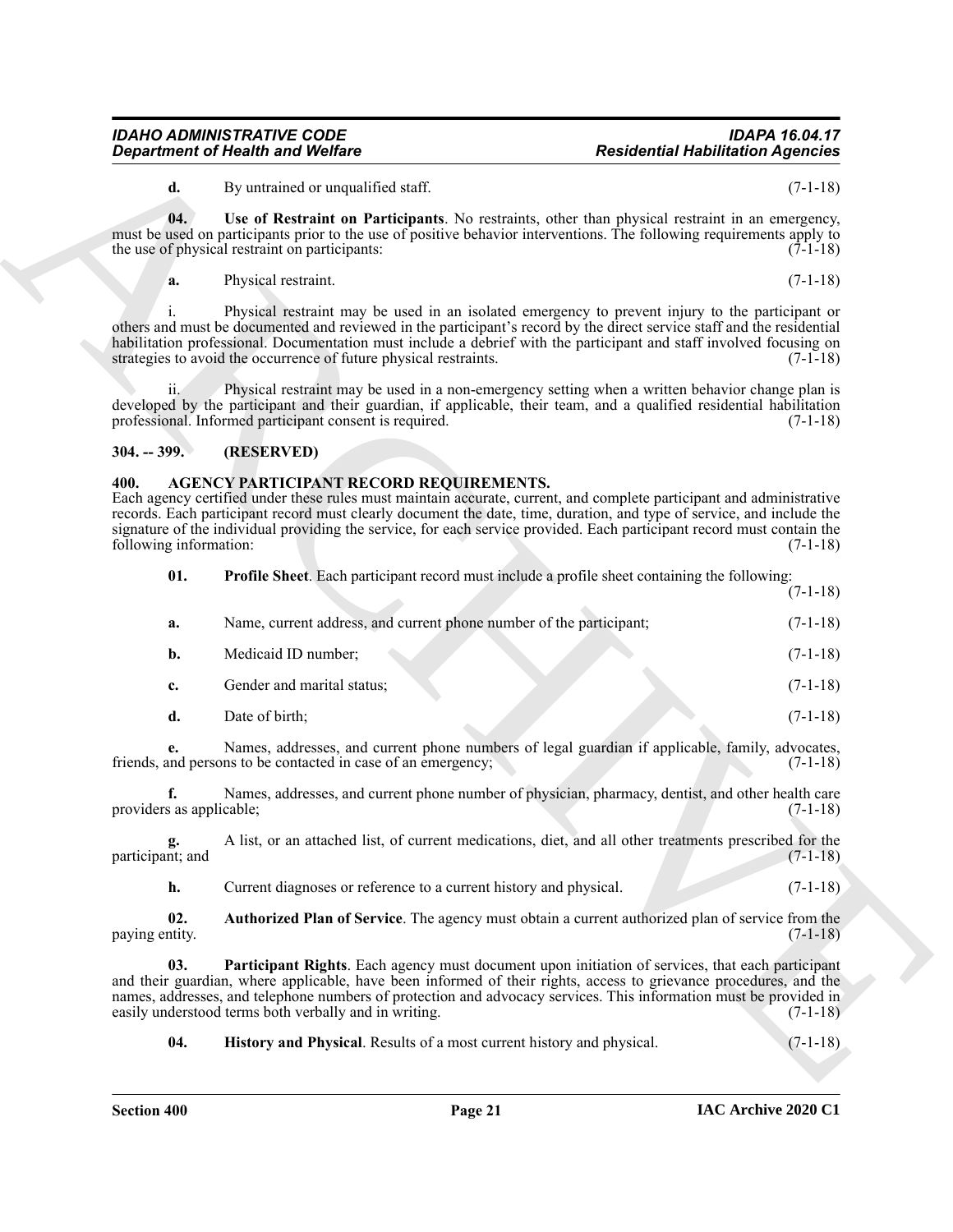## <span id="page-19-7"></span>*IDAHO ADMINISTRATIVE CODE IDAPA 16.04.17*

#### <span id="page-19-0"></span>**304. -- 399. (RESERVED)**

#### <span id="page-19-6"></span><span id="page-19-5"></span><span id="page-19-4"></span><span id="page-19-3"></span><span id="page-19-2"></span><span id="page-19-1"></span>**400. AGENCY PARTICIPANT RECORD REQUIREMENTS.**

|                                | <b>Department of Health and Welfare</b>                                                                                                                                                                                                                                                                                                                                                                               | <b>Residential Habilitation Agencies</b> |  |
|--------------------------------|-----------------------------------------------------------------------------------------------------------------------------------------------------------------------------------------------------------------------------------------------------------------------------------------------------------------------------------------------------------------------------------------------------------------------|------------------------------------------|--|
| d.                             | By untrained or unqualified staff.                                                                                                                                                                                                                                                                                                                                                                                    | $(7-1-18)$                               |  |
| 04.                            | Use of Restraint on Participants. No restraints, other than physical restraint in an emergency,<br>must be used on participants prior to the use of positive behavior interventions. The following requirements apply to<br>the use of physical restraint on participants:                                                                                                                                            | $(7-1-18)$                               |  |
| a.                             | Physical restraint.                                                                                                                                                                                                                                                                                                                                                                                                   | $(7-1-18)$                               |  |
|                                | Physical restraint may be used in an isolated emergency to prevent injury to the participant or<br>others and must be documented and reviewed in the participant's record by the direct service staff and the residential<br>habilitation professional. Documentation must include a debrief with the participant and staff involved focusing on<br>strategies to avoid the occurrence of future physical restraints. | $(7-1-18)$                               |  |
| ii.                            | Physical restraint may be used in a non-emergency setting when a written behavior change plan is<br>developed by the participant and their guardian, if applicable, their team, and a qualified residential habilitation<br>professional. Informed participant consent is required.                                                                                                                                   | $(7-1-18)$                               |  |
| $304. - 399.$                  | (RESERVED)                                                                                                                                                                                                                                                                                                                                                                                                            |                                          |  |
| 400.<br>following information: | AGENCY PARTICIPANT RECORD REQUIREMENTS.<br>Each agency certified under these rules must maintain accurate, current, and complete participant and administrative<br>records. Each participant record must clearly document the date, time, duration, and type of service, and include the<br>signature of the individual providing the service, for each service provided. Each participant record must contain the    | $(7-1-18)$                               |  |
| 01.                            | <b>Profile Sheet.</b> Each participant record must include a profile sheet containing the following:                                                                                                                                                                                                                                                                                                                  | $(7-1-18)$                               |  |
| a.                             | Name, current address, and current phone number of the participant;                                                                                                                                                                                                                                                                                                                                                   | $(7-1-18)$                               |  |
| b.                             | Medicaid ID number;                                                                                                                                                                                                                                                                                                                                                                                                   | $(7-1-18)$                               |  |
| c.                             | Gender and marital status;                                                                                                                                                                                                                                                                                                                                                                                            | $(7-1-18)$                               |  |
| d.                             | Date of birth;                                                                                                                                                                                                                                                                                                                                                                                                        | $(7-1-18)$                               |  |
|                                | Names, addresses, and current phone numbers of legal guardian if applicable, family, advocates,<br>friends, and persons to be contacted in case of an emergency;                                                                                                                                                                                                                                                      | $(7-1-18)$                               |  |
| f.<br>providers as applicable; | Names, addresses, and current phone number of physician, pharmacy, dentist, and other health care                                                                                                                                                                                                                                                                                                                     | $(7-1-18)$                               |  |
| participant; and               | A list, or an attached list, of current medications, diet, and all other treatments prescribed for the                                                                                                                                                                                                                                                                                                                | $(7-1-18)$                               |  |
| h.                             | Current diagnoses or reference to a current history and physical.                                                                                                                                                                                                                                                                                                                                                     | $(7-1-18)$                               |  |
| 02.                            | Authorized Plan of Service. The agency must obtain a current authorized plan of service from the                                                                                                                                                                                                                                                                                                                      | $(7-1-18)$                               |  |
| paying entity.                 |                                                                                                                                                                                                                                                                                                                                                                                                                       |                                          |  |
| 03.                            | Participant Rights. Each agency must document upon initiation of services, that each participant<br>and their guardian, where applicable, have been informed of their rights, access to grievance procedures, and the<br>names, addresses, and telephone numbers of protection and advocacy services. This information must be provided in<br>easily understood terms both verbally and in writing.                   | $(7-1-18)$                               |  |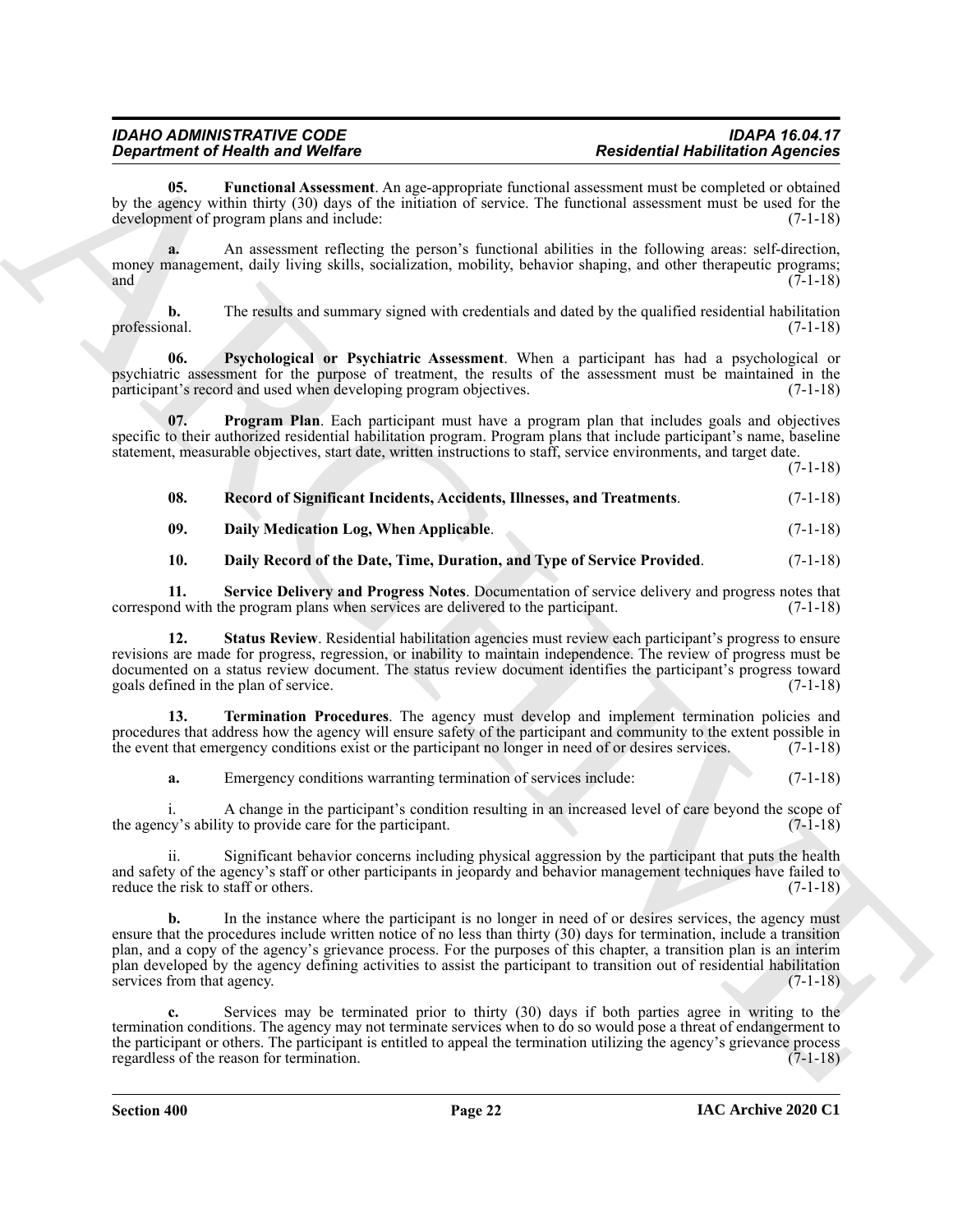<span id="page-20-2"></span>**05. Functional Assessment**. An age-appropriate functional assessment must be completed or obtained by the agency within thirty (30) days of the initiation of service. The functional assessment must be used for the development of program plans and include: (7-1-18)

**a.** An assessment reflecting the person's functional abilities in the following areas: self-direction, money management, daily living skills, socialization, mobility, behavior shaping, and other therapeutic programs;<br>(7-1-18) and  $(7-1-18)$ 

**b.** The results and summary signed with credentials and dated by the qualified residential habilitation professional. (7-1-18)

<span id="page-20-4"></span>**06. Psychological or Psychiatric Assessment**. When a participant has had a psychological or psychiatric assessment for the purpose of treatment, the results of the assessment must be maintained in the participant's record and used when developing program objectives. (7-1-18)

**07. Program Plan**. Each participant must have a program plan that includes goals and objectives specific to their authorized residential habilitation program. Program plans that include participant's name, baseline statement, measurable objectives, start date, written instructions to staff, service environments, and target date.

(7-1-18)

<span id="page-20-5"></span><span id="page-20-3"></span>

| 08. |  |  |  | Record of Significant Incidents, Accidents, Illnesses, and Treatments. | $(7-1-18)$ |
|-----|--|--|--|------------------------------------------------------------------------|------------|
|-----|--|--|--|------------------------------------------------------------------------|------------|

<span id="page-20-0"></span>**09. Daily Medication Log, When Applicable**. (7-1-18)

<span id="page-20-7"></span><span id="page-20-6"></span><span id="page-20-1"></span>**10. Daily Record of the Date, Time, Duration, and Type of Service Provided**. (7-1-18)

**11. Service Delivery and Progress Notes**. Documentation of service delivery and progress notes that correspond with the program plans when services are delivered to the participant.

**12. Status Review**. Residential habilitation agencies must review each participant's progress to ensure revisions are made for progress, regression, or inability to maintain independence. The review of progress must be documented on a status review document. The status review document identifies the participant's progress toward goals defined in the plan of service. (7-1-18)

**13. Termination Procedures**. The agency must develop and implement termination policies and procedures that address how the agency will ensure safety of the participant and community to the extent possible in the event that emergency conditions exist or the participant no longer in need of or desires services. (7-1-18)

<span id="page-20-8"></span>**a.** Emergency conditions warranting termination of services include:  $(7-1-18)$ 

i. A change in the participant's condition resulting in an increased level of care beyond the scope of cy's ability to provide care for the participant.  $(7-1-18)$ the agency's ability to provide care for the participant.

ii. Significant behavior concerns including physical aggression by the participant that puts the health and safety of the agency's staff or other participants in jeopardy and behavior management techniques have failed to reduce the risk to staff or others. (7-1-18) reduce the risk to staff or others.

**Considered Friedrich Absorption**<br> **Considered Friedrich Absorption** (A managementic Limitation associated Friedrich Absorption and the stationary of the stationary of the stationary of the stationary of the stationary of **b.** In the instance where the participant is no longer in need of or desires services, the agency must ensure that the procedures include written notice of no less than thirty (30) days for termination, include a transition plan, and a copy of the agency's grievance process. For the purposes of this chapter, a transition plan is an interim plan developed by the agency defining activities to assist the participant to transition out of residential habilitation services from that agency. (7-1-18)

**c.** Services may be terminated prior to thirty (30) days if both parties agree in writing to the termination conditions. The agency may not terminate services when to do so would pose a threat of endangerment to the participant or others. The participant is entitled to appeal the termination utilizing the agency's grievance process regardless of the reason for termination. (7-1-18)

**Section 400 Page 22**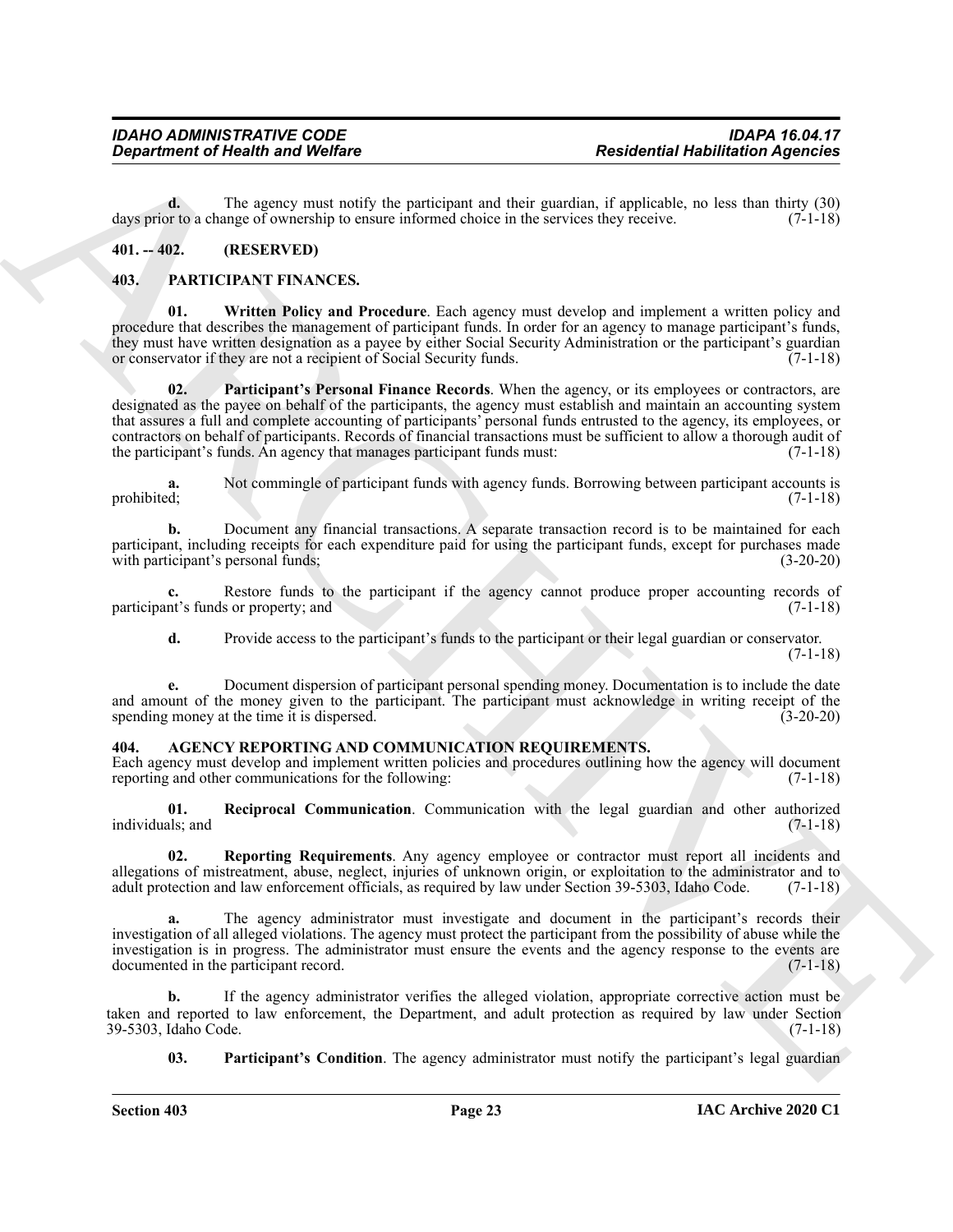**d.** The agency must notify the participant and their guardian, if applicable, no less than thirty (30) or to a change of ownership to ensure informed choice in the services they receive. (7-1-18) days prior to a change of ownership to ensure informed choice in the services they receive.

#### <span id="page-21-0"></span>**401. -- 402. (RESERVED)**

#### <span id="page-21-9"></span><span id="page-21-7"></span><span id="page-21-1"></span>**403. PARTICIPANT FINANCES.**

<span id="page-21-8"></span>**01. Written Policy and Procedure**. Each agency must develop and implement a written policy and procedure that describes the management of participant funds. In order for an agency to manage participant's funds, they must have written designation as a payee by either Social Security Administration or the participant's guardian<br>or conservator if they are not a recipient of Social Security funds. (7-1-18) or conservator if they are not a recipient of Social Security funds.

**Expansion of Nealth weat Welfare**<br>
The same of Nealth weak Welfare<br>
The same of the same of the pentisipan, and labor expectively as the same of the same of the same of the same of the same of the same of the same of the **02. Participant's Personal Finance Records**. When the agency, or its employees or contractors, are designated as the payee on behalf of the participants, the agency must establish and maintain an accounting system that assures a full and complete accounting of participants' personal funds entrusted to the agency, its employees, or contractors on behalf of participants. Records of financial transactions must be sufficient to allow a thorough audit of the participant's funds. An agency that manages participant funds must: (7-1-18) the participant's funds. An agency that manages participant funds must:

**a.** Not commingle of participant funds with agency funds. Borrowing between participant accounts is prohibited; (7-1-18) prohibited; (7-1-18)

**b.** Document any financial transactions. A separate transaction record is to be maintained for each participant, including receipts for each expenditure paid for using the participant funds, except for purchases made with participant's personal funds; (3-20-20)

**c.** Restore funds to the participant if the agency cannot produce proper accounting records of nt's funds or property; and  $(7-1-18)$ participant's funds or property; and

**d.** Provide access to the participant's funds to the participant or their legal guardian or conservator. (7-1-18)

**e.** Document dispersion of participant personal spending money. Documentation is to include the date and amount of the money given to the participant. The participant must acknowledge in writing receipt of the spending money at the time it is dispersed. (3-20-20) spending money at the time it is dispersed.

#### <span id="page-21-3"></span><span id="page-21-2"></span>AGENCY REPORTING AND COMMUNICATION REQUIREMENTS.

Each agency must develop and implement written policies and procedures outlining how the agency will document reporting and other communications for the following: (7-1-18)

<span id="page-21-5"></span>**01. Reciprocal Communication**. Communication with the legal guardian and other authorized individuals; and

<span id="page-21-6"></span>**02. Reporting Requirements**. Any agency employee or contractor must report all incidents and allegations of mistreatment, abuse, neglect, injuries of unknown origin, or exploitation to the administrator and to adult protection and law enforcement officials, as required by law under Section 39-5303. Idaho Code. (7adult protection and law enforcement officials, as required by law under Section 39-5303, Idaho Code.

The agency administrator must investigate and document in the participant's records their investigation of all alleged violations. The agency must protect the participant from the possibility of abuse while the investigation is in progress. The administrator must ensure the events and the agency response to the events are documented in the participant record. (7-1-18) documented in the participant record.

**b.** If the agency administrator verifies the alleged violation, appropriate corrective action must be taken and reported to law enforcement, the Department, and adult protection as required by law under Section 39-5303, Idaho Code.

<span id="page-21-4"></span>**03.** Participant's Condition. The agency administrator must notify the participant's legal guardian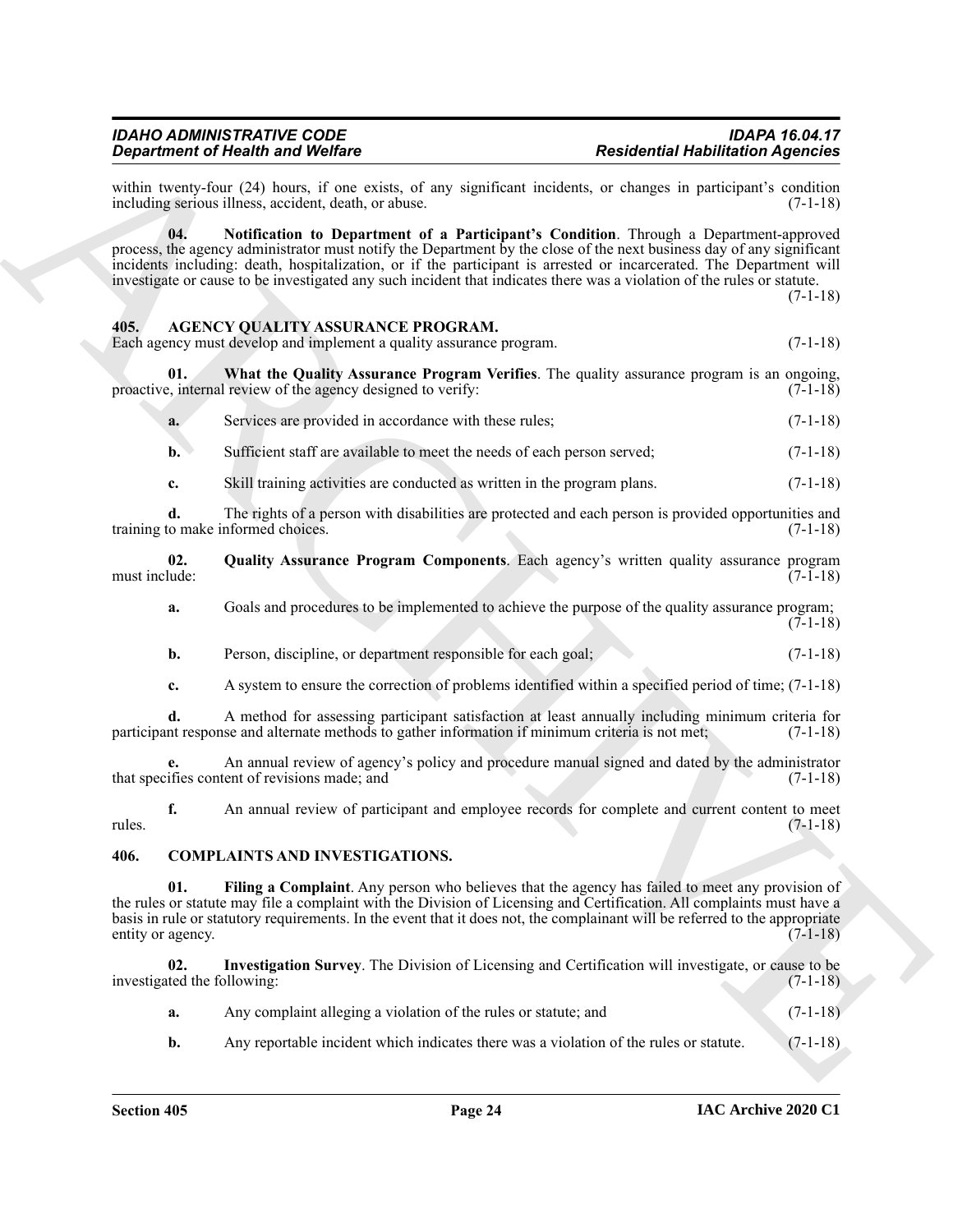<span id="page-22-5"></span>within twenty-four (24) hours, if one exists, of any significant incidents, or changes in participant's condition including serious illness, accident, death, or abuse. including serious illness, accident, death, or abuse.

**Strainer of Health Works (as a Vietner of Architecture Constraint Persistential Health Residents Agencies<br>
State boat is a constraint of the Participan and Constraint Exception in the space of the Constraint State of the 04. Notification to Department of a Participant's Condition**. Through a Department-approved process, the agency administrator must notify the Department by the close of the next business day of any significant incidents including: death, hospitalization, or if the participant is arrested or incarcerated. The Department will investigate or cause to be investigated any such incident that indicates there was a violation of the rules or statute.  $(7-1-18)$ 

#### <span id="page-22-2"></span><span id="page-22-0"></span>**405. AGENCY QUALITY ASSURANCE PROGRAM.**

Each agency must develop and implement a quality assurance program. (7-1-18)

**01.** What the Quality Assurance Program Verifies. The quality assurance program is an ongoing,  $e$ , internal review of the agency designed to verify:  $(7-1-18)$ proactive, internal review of the agency designed to verify:

<span id="page-22-4"></span>

| Services are provided in accordance with these rules: |  |
|-------------------------------------------------------|--|
|                                                       |  |

**b.** Sufficient staff are available to meet the needs of each person served;  $(7-1-18)$ 

**c.** Skill training activities are conducted as written in the program plans. (7-1-18)

**d.** The rights of a person with disabilities are protected and each person is provided opportunities and to make informed choices. (7-1-18) training to make informed choices.

**02.** Quality Assurance Program Components. Each agency's written quality assurance program must include: (7-1-18) must include: (7-1-18)

- <span id="page-22-3"></span>**a.** Goals and procedures to be implemented to achieve the purpose of the quality assurance program; (7-1-18)
- **b.** Person, discipline, or department responsible for each goal; (7-1-18)
- **c.** A system to ensure the correction of problems identified within a specified period of time; (7-1-18)

**d.** A method for assessing participant satisfaction at least annually including minimum criteria for nt response and alternate methods to gather information if minimum criteria is not met; (7-1-18) participant response and alternate methods to gather information if minimum criteria is not met;

**e.** An annual review of agency's policy and procedure manual signed and dated by the administrator if it is content of revisions made; and that specifies content of revisions made; and

**f.** An annual review of participant and employee records for complete and current content to meet (7-1-18) rules. (7-1-18)

#### <span id="page-22-6"></span><span id="page-22-1"></span>**406. COMPLAINTS AND INVESTIGATIONS.**

<span id="page-22-7"></span>**01. Filing a Complaint**. Any person who believes that the agency has failed to meet any provision of the rules or statute may file a complaint with the Division of Licensing and Certification. All complaints must have a basis in rule or statutory requirements. In the event that it does not, the complainant will be referred to the appropriate entity or agency. (7-1-18)

**02. Investigation Survey**. The Division of Licensing and Certification will investigate, or cause to be investigated the following: (7-1-18)

<span id="page-22-8"></span>

| a. | Any complaint alleging a violation of the rules or statute; and | $(7-1-18)$ |
|----|-----------------------------------------------------------------|------------|
|    |                                                                 |            |

**b.** Any reportable incident which indicates there was a violation of the rules or statute. (7-1-18)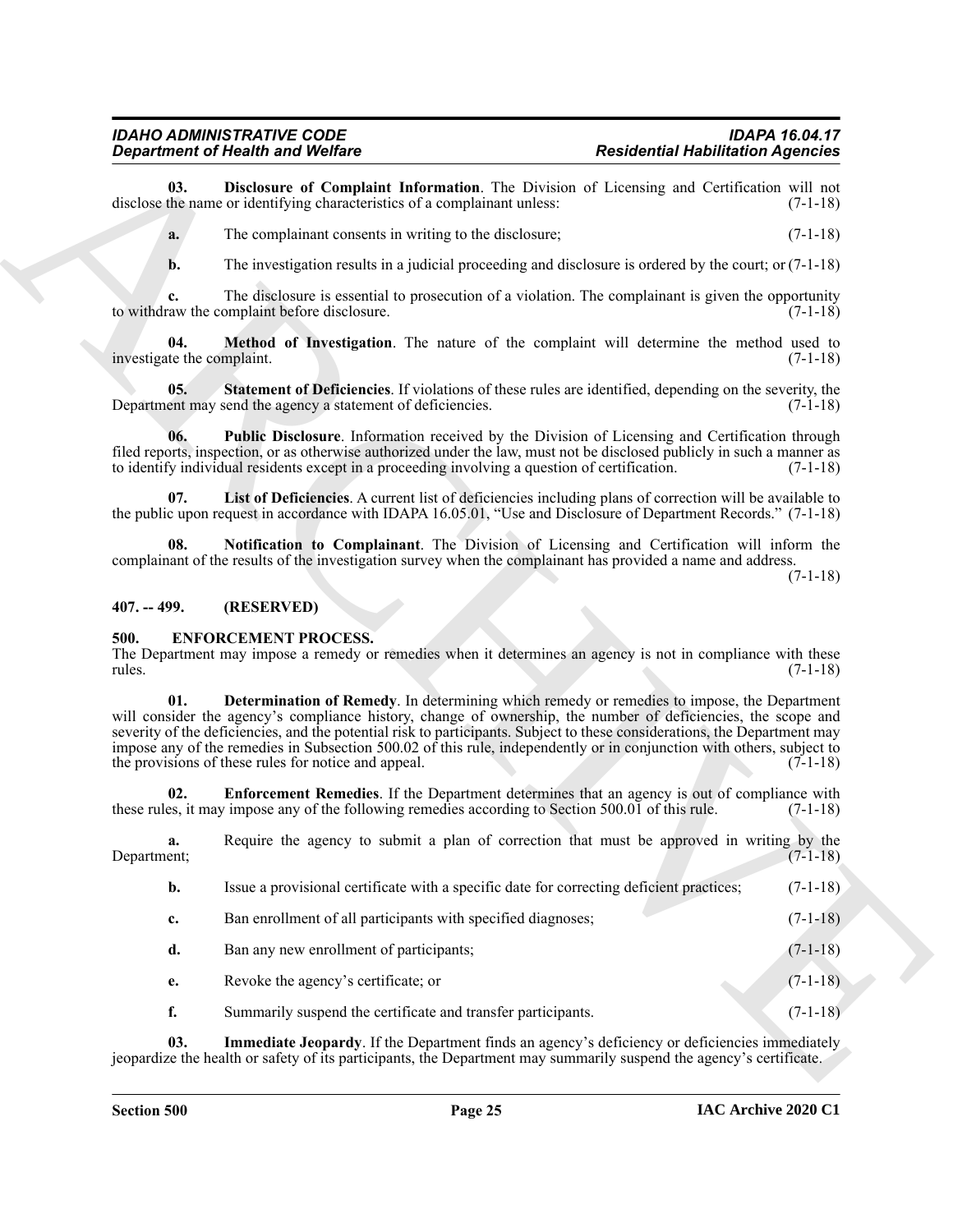#### <span id="page-23-7"></span><span id="page-23-6"></span><span id="page-23-5"></span><span id="page-23-3"></span><span id="page-23-0"></span>**407. -- 499. (RESERVED)**

#### <span id="page-23-11"></span><span id="page-23-10"></span><span id="page-23-9"></span><span id="page-23-8"></span><span id="page-23-1"></span>**500. ENFORCEMENT PROCESS.**

<span id="page-23-4"></span><span id="page-23-2"></span>

|                                   | <b>Department of Health and Welfare</b>                                                                                                                                                                                                                                                                                                                                                                                                                                                                                   | <b>Residential Habilitation Agencies</b>                                                       |
|-----------------------------------|---------------------------------------------------------------------------------------------------------------------------------------------------------------------------------------------------------------------------------------------------------------------------------------------------------------------------------------------------------------------------------------------------------------------------------------------------------------------------------------------------------------------------|------------------------------------------------------------------------------------------------|
| 03.                               | Disclosure of Complaint Information. The Division of Licensing and Certification will not<br>disclose the name or identifying characteristics of a complainant unless:                                                                                                                                                                                                                                                                                                                                                    | $(7-1-18)$                                                                                     |
| a.                                | The complainant consents in writing to the disclosure;                                                                                                                                                                                                                                                                                                                                                                                                                                                                    | $(7-1-18)$                                                                                     |
| b.                                | The investigation results in a judicial proceeding and disclosure is ordered by the court; or $(7-1-18)$                                                                                                                                                                                                                                                                                                                                                                                                                  |                                                                                                |
|                                   | The disclosure is essential to prosecution of a violation. The complainant is given the opportunity<br>to withdraw the complaint before disclosure.                                                                                                                                                                                                                                                                                                                                                                       | $(7-1-18)$                                                                                     |
| 04.<br>investigate the complaint. | Method of Investigation. The nature of the complaint will determine the method used to                                                                                                                                                                                                                                                                                                                                                                                                                                    | $(7-1-18)$                                                                                     |
| 05.                               | Statement of Deficiencies. If violations of these rules are identified, depending on the severity, the<br>Department may send the agency a statement of deficiencies.                                                                                                                                                                                                                                                                                                                                                     | $(7-1-18)$                                                                                     |
| 06.                               | Public Disclosure. Information received by the Division of Licensing and Certification through<br>filed reports, inspection, or as otherwise authorized under the law, must not be disclosed publicly in such a manner as<br>to identify individual residents except in a proceeding involving a question of certification.                                                                                                                                                                                               | $(7-1-18)$                                                                                     |
| 07.                               | List of Deficiencies. A current list of deficiencies including plans of correction will be available to<br>the public upon request in accordance with IDAPA 16.05.01, "Use and Disclosure of Department Records." (7-1-18)                                                                                                                                                                                                                                                                                                |                                                                                                |
| 08.                               | Notification to Complainant. The Division of Licensing and Certification will inform the<br>complainant of the results of the investigation survey when the complainant has provided a name and address.                                                                                                                                                                                                                                                                                                                  | $(7-1-18)$                                                                                     |
| $407. - 499.$                     | (RESERVED)                                                                                                                                                                                                                                                                                                                                                                                                                                                                                                                |                                                                                                |
| 500.<br>rules.                    | <b>ENFORCEMENT PROCESS.</b><br>The Department may impose a remedy or remedies when it determines an agency is not in compliance with these                                                                                                                                                                                                                                                                                                                                                                                | $(7-1-18)$                                                                                     |
| 01.                               | Determination of Remedy. In determining which remedy or remedies to impose, the Department<br>will consider the agency's compliance history, change of ownership, the number of deficiencies, the scope and<br>severity of the deficiencies, and the potential risk to participants. Subject to these considerations, the Department may<br>impose any of the remedies in Subsection 500.02 of this rule, independently or in conjunction with others, subject to<br>the provisions of these rules for notice and appeal. | $(7-1-18)$                                                                                     |
| 02.                               | <b>Enforcement Remedies</b> . If the Department determines that an agency is out of compliance with<br>these rules, it may impose any of the following remedies according to Section 500.01 of this rule.                                                                                                                                                                                                                                                                                                                 | $(7-1-18)$                                                                                     |
| a.<br>Department;                 | Require the agency to submit a plan of correction that must be approved in writing by the                                                                                                                                                                                                                                                                                                                                                                                                                                 | $(7-1-18)$                                                                                     |
| b.                                | Issue a provisional certificate with a specific date for correcting deficient practices;                                                                                                                                                                                                                                                                                                                                                                                                                                  | $(7-1-18)$                                                                                     |
| c.                                | Ban enrollment of all participants with specified diagnoses;                                                                                                                                                                                                                                                                                                                                                                                                                                                              | $(7-1-18)$                                                                                     |
| d.                                | Ban any new enrollment of participants;                                                                                                                                                                                                                                                                                                                                                                                                                                                                                   | $(7-1-18)$                                                                                     |
| e.                                | Revoke the agency's certificate; or                                                                                                                                                                                                                                                                                                                                                                                                                                                                                       | $(7-1-18)$                                                                                     |
| f.                                | Summarily suspend the certificate and transfer participants.                                                                                                                                                                                                                                                                                                                                                                                                                                                              | $(7-1-18)$                                                                                     |
| 03.                               |                                                                                                                                                                                                                                                                                                                                                                                                                                                                                                                           | Immediate Jeopardy. If the Department finds an agency's deficiency or deficiencies immediately |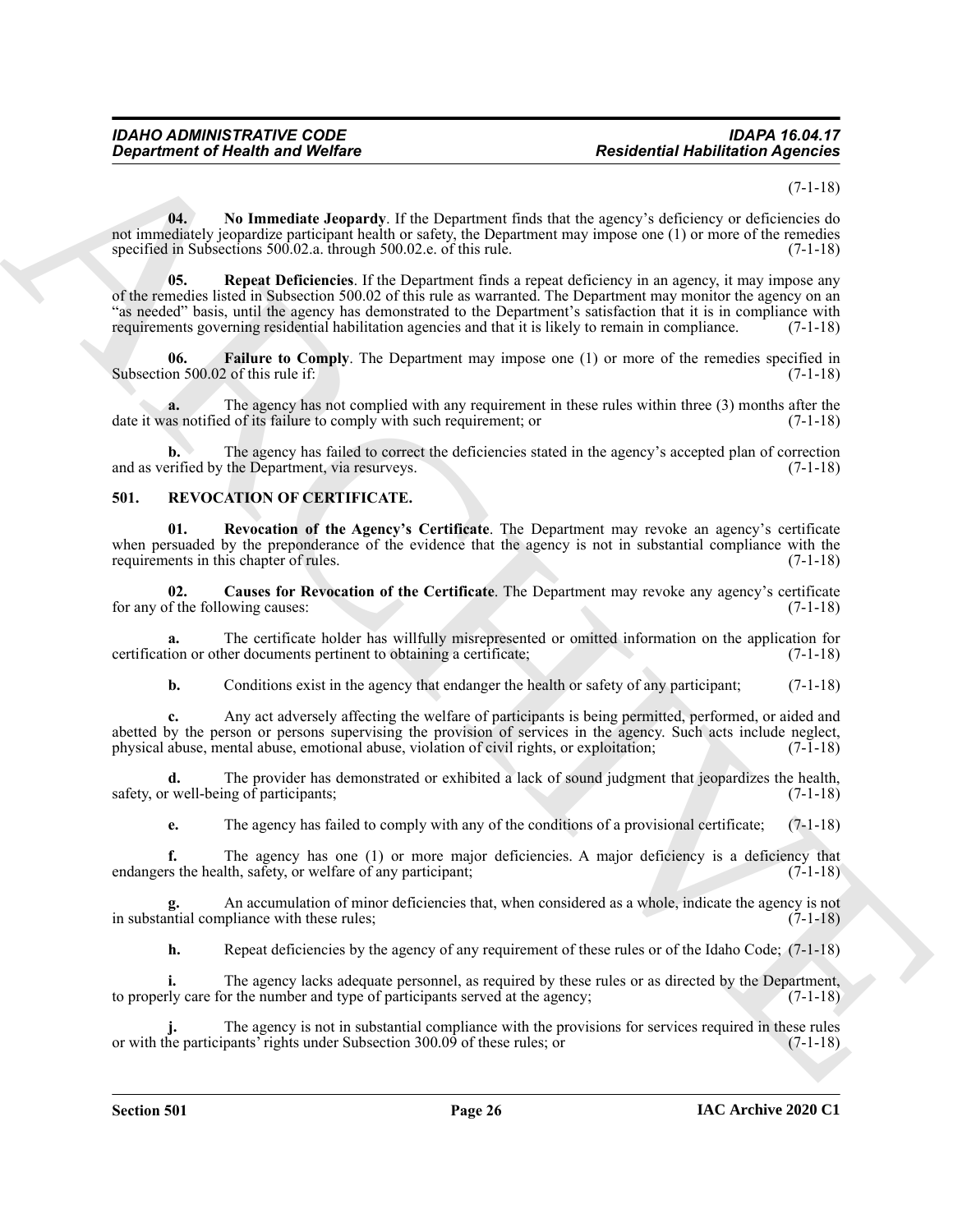(7-1-18)

<span id="page-24-3"></span><span id="page-24-2"></span>**04.** No Immediate Jeopardy. If the Department finds that the agency's deficiency or deficiencies do not immediately jeopardize participant health or safety, the Department may impose one (1) or more of the remedies specified in Subsections 500.02.a. through 500.02.e. of this rule.

**Expansion of Health wave Welfare**<br> **Residential Health Solution Agency of Advantation Agency defection Agency and the space of the space of the space of the space of the space of the space of the space of the space of th 05. Repeat Deficiencies**. If the Department finds a repeat deficiency in an agency, it may impose any of the remedies listed in Subsection 500.02 of this rule as warranted. The Department may monitor the agency on an "as needed" basis, until the agency has demonstrated to the Department's satisfaction that it is in compliance with requirements governing residential habilitation agencies and that it is likely to remain in compliance. (7-1-18)

<span id="page-24-1"></span>**06.** Failure to Comply. The Department may impose one (1) or more of the remedies specified in on 500.02 of this rule if: (7-1-18) Subsection 500.02 of this rule if:

**a.** The agency has not complied with any requirement in these rules within three (3) months after the as notified of its failure to comply with such requirement; or  $(7-1-18)$ date it was notified of its failure to comply with such requirement; or

**b.** The agency has failed to correct the deficiencies stated in the agency's accepted plan of correction and as verified by the Department, via resurveys. (7-1-18)

#### <span id="page-24-4"></span><span id="page-24-0"></span>**501. REVOCATION OF CERTIFICATE.**

<span id="page-24-6"></span>**01. Revocation of the Agency's Certificate**. The Department may revoke an agency's certificate when persuaded by the preponderance of the evidence that the agency is not in substantial compliance with the requirements in this chapter of rules. (7-1-18)

<span id="page-24-5"></span>**02.** Causes for Revocation of the Certificate. The Department may revoke any agency's certificate f the following causes: (7-1-18) for any of the following causes:

**a.** The certificate holder has willfully misrepresented or omitted information on the application for ion or other documents pertinent to obtaining a certificate; (7-1-18) certification or other documents pertinent to obtaining a certificate;

**b.** Conditions exist in the agency that endanger the health or safety of any participant; (7-1-18)

**c.** Any act adversely affecting the welfare of participants is being permitted, performed, or aided and abetted by the person or persons supervising the provision of services in the agency. Such acts include neglect, physical abuse, mental abuse, emotional abuse, violation of civil rights, or exploitation; (7-1-18) physical abuse, mental abuse, emotional abuse, violation of civil rights, or exploitation; (7-1-18)

The provider has demonstrated or exhibited a lack of sound judgment that jeopardizes the health, ng of participants; (7-1-18) safety, or well-being of participants;

**e.** The agency has failed to comply with any of the conditions of a provisional certificate; (7-1-18)

**f.** The agency has one (1) or more major deficiencies. A major deficiency is a deficiency that rs the health, safety, or welfare of any participant; (7-1-18) endangers the health, safety, or welfare of any participant;

**g.** An accumulation of minor deficiencies that, when considered as a whole, indicate the agency is not in substantial compliance with these rules; (7-1-18)

**h.** Repeat deficiencies by the agency of any requirement of these rules or of the Idaho Code; (7-1-18)

The agency lacks adequate personnel, as required by these rules or as directed by the Department, or the number and type of participants served at the agency; (7-1-18) to properly care for the number and type of participants served at the agency;

The agency is not in substantial compliance with the provisions for services required in these rules pants' rights under Subsection 300.09 of these rules; or  $(7-1-18)$ or with the participants' rights under Subsection 300.09 of these rules; or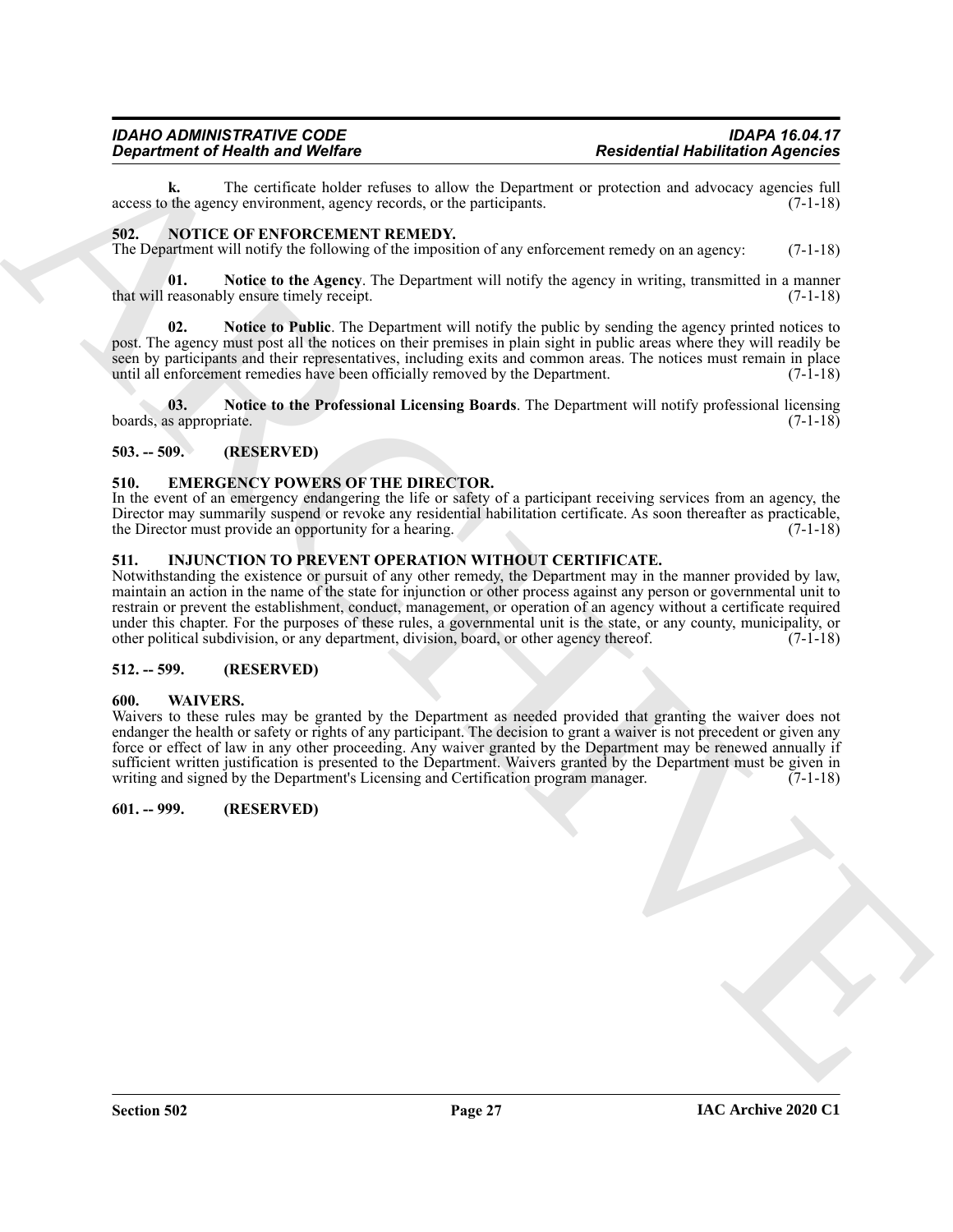**k.** The certificate holder refuses to allow the Department or protection and advocacy agencies full the agency environment, agency records, or the participants. (7-1-18) access to the agency environment, agency records, or the participants.

#### <span id="page-25-9"></span><span id="page-25-0"></span>**502. NOTICE OF ENFORCEMENT REMEDY.**

<span id="page-25-11"></span>The Department will notify the following of the imposition of any enforcement remedy on an agency: (7-1-18)

**01.** Notice to the Agency. The Department will notify the agency in writing, transmitted in a manner reasonably ensure timely receipt. (7-1-18) that will reasonably ensure timely receipt.

<span id="page-25-10"></span>**02. Notice to Public**. The Department will notify the public by sending the agency printed notices to post. The agency must post all the notices on their premises in plain sight in public areas where they will readily be seen by participants and their representatives, including exits and common areas. The notices must remain in place<br>until all enforcement remedies have been officially removed by the Department. (7-1-18) until all enforcement remedies have been officially removed by the Department.

<span id="page-25-12"></span>**03. Notice to the Professional Licensing Boards**. The Department will notify professional licensing boards, as appropriate. (7-1-18)

#### <span id="page-25-1"></span>**503. -- 509. (RESERVED)**

#### <span id="page-25-7"></span><span id="page-25-2"></span>**510. EMERGENCY POWERS OF THE DIRECTOR.**

In the event of an emergency endangering the life or safety of a participant receiving services from an agency, the Director may summarily suspend or revoke any residential habilitation certificate. As soon thereafter as practicable, the Director must provide an opportunity for a hearing. (7-1-18)

#### <span id="page-25-8"></span><span id="page-25-3"></span>**511. INJUNCTION TO PREVENT OPERATION WITHOUT CERTIFICATE.**

**Equivariant of Health Walley** Constraints we like the Department of **residential Health Science Constraints**<br>
account to the continent state of the Poisson of the Constraints of problem can be every considered at the SPE Notwithstanding the existence or pursuit of any other remedy, the Department may in the manner provided by law, maintain an action in the name of the state for injunction or other process against any person or governmental unit to restrain or prevent the establishment, conduct, management, or operation of an agency without a certificate required under this chapter. For the purposes of these rules, a governmental unit is the state, or any county, municipality, or other political subdivision, or any department, division, board, or other agency thereof. (7-1-18)

#### <span id="page-25-4"></span>**512. -- 599. (RESERVED)**

#### <span id="page-25-13"></span><span id="page-25-5"></span>**600. WAIVERS.**

Waivers to these rules may be granted by the Department as needed provided that granting the waiver does not endanger the health or safety or rights of any participant. The decision to grant a waiver is not precedent or given any force or effect of law in any other proceeding. Any waiver granted by the Department may be renewed annually if sufficient written justification is presented to the Department. Waivers granted by the Department must be given in writing and signed by the Department's Licensing and Certification program manager. (7-1-18)

#### <span id="page-25-6"></span>**601. -- 999. (RESERVED)**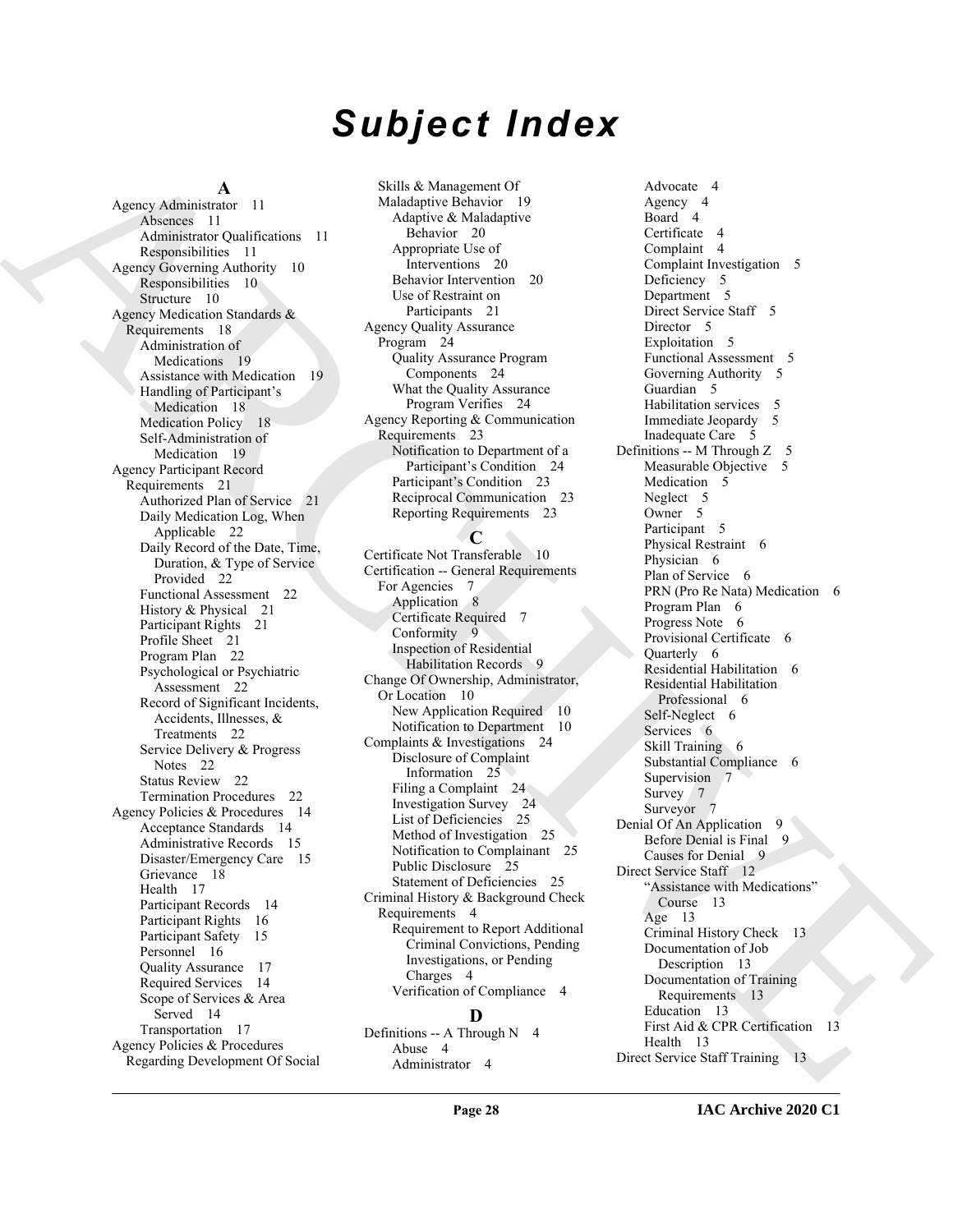# *Subject Index*

#### **A**

Archive Mathematical Mathematical Archive [C](#page-21-3)onstruction (Archive Construction Construction Construction (Archive Construction Construction Construction (Archive Construction Construction Construction (Archive Construction Agency Administrator 11 Absences 11 Administrator Qualifications 11 Responsibilities 11 Agency Governing Authority 10 Responsibilities 10 Structure 10 Agency Medication Standards & Requirements 18 Administration of Medications 19 Assistance with Medication 19 Handling of Participant's Medication 18 Medication Policy 18 Self-Administration of Medication 19 Agency Participant Record Requirements 21 Authorized Plan of Service 21 Daily Medication Log, When Applicable 22 Daily Record of the Date, Time, Duration, & Type of Service Provided 22 Functional Assessment 22 History & Physical 21 Participant Rights 21 Profile Sheet 21 Program Plan 22 Psychological or Psychiatric Assessment 22 Record of Significant Incidents, Accidents, Illnesses, & Treatments 22 Service Delivery & Progress Notes 22 Status Review 22 Termination Procedures 22 Agency Policies & Procedures 14 Acceptance Standards 14 Administrative Records 15 Disaster/Emergency Care 15 Grievance 18 Health 17 Participant Records 14 Participant Rights 16 Participant Safety 15 Personnel 16 Quality Assurance 17 Required Services 14 Scope of Services & Area Served 14 Transportation 17 Agency Policies & Procedures Regarding Development Of Social

Skills & Management Of Maladaptive Behavior 19 Adaptive & Maladaptive Behavior 20 Appropriate Use of Interventions 20 Behavior Intervention 20 Use of Restraint on Participants 21 Agency Quality Assurance Program 24 Quality Assurance Program Components 24 What the Quality Assurance Program Verifies 24 Agency Reporting & Communication Requirements 23 Notification to Department of a Participant's Condition 24 Participant's Condition 23 Reciprocal Communication 23 Reporting Requirements 23

#### **C**

Certificate Not Transferable 10 Certification -- General Requirements For Agencies 7 Application 8 Certificate Required 7 Conformity 9 Inspection of Residential Habilitation Records 9 Change Of Ownership, Administrator, Or Location 10 New Application Required 10 Notification to Department 10 Complaints & Investigations 24 Disclosure of Complaint Information 25 Filing a Complaint 24 Investigation Survey 24 List of Deficiencies 25 Method of Investigation 25 Notification to Complainant 25 Public Disclosure 25 Statement of Deficiencies 25 Criminal History & Background Check Requirements 4 Requirement to Report Additional Criminal Convictions, Pending Investigations, or Pending Charges 4 Verification of Compliance 4

#### **D**

Definitions -- A Through N 4 Abuse 4 Administrator 4

Advocate 4 Agency 4 Board 4 Certificate 4 Complaint 4 Complaint Investigation 5 Deficiency 5 Department 5 Direct Service Staff 5 Director 5 Exploitation 5 Functional Assessment 5 Governing Authority 5 Guardian 5 Habilitation services 5 Immediate Jeopardy 5 Inadequate Care 5 Definitions -- M Through Z 5 Measurable Objective 5 Medication 5 Neglect 5 Owner 5 Participant 5 Physical Restraint 6 Physician 6 Plan of Service 6 PRN (Pro Re Nata) Medication 6 Program Plan 6 Progress Note 6 Provisional Certificate 6 Quarterly 6 Residential Habilitation 6 Residential Habilitation Professional 6 Self-Neglect 6 Services 6 Skill Training 6 Substantial Compliance 6 Supervision 7 Survey 7 Surveyor 7 Denial Of An Application 9 Before Denial is Final 9 Causes for Denial 9 Direct Service Staff 12 "Assistance with Medications" Course 13 Age 13 Criminal History Check 13 Documentation of Job Description 13 Documentation of Training Requirements 13 Education 13 First Aid & CPR Certification 13 Health 13 Direct Service Staff Training 13